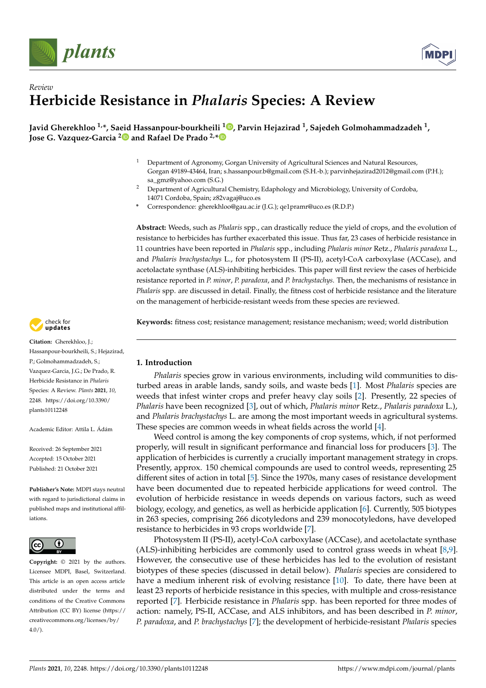



# *Review* **Herbicide Resistance in** *Phalaris* **Species: A Review**

**Javid Gherekhloo 1,\*, Saeid Hassanpour-bourkheili <sup>1</sup> [,](https://orcid.org/0000-0001-7559-856X) Parvin Hejazirad <sup>1</sup> , Sajedeh Golmohammadzadeh <sup>1</sup> , Jose G. Vazquez-Garcia [2](https://orcid.org/0000-0002-4768-1822) and Rafael De Prado 2,[\\*](https://orcid.org/0000-0002-1478-653X)**

- <sup>1</sup> Department of Agronomy, Gorgan University of Agricultural Sciences and Natural Resources, Gorgan 49189-43464, Iran; s.hassanpour.b@gmail.com (S.H.-b.); parvinhejazirad2012@gmail.com (P.H.); sa\_gmz@yahoo.com (S.G.)
- <sup>2</sup> Department of Agricultural Chemistry, Edaphology and Microbiology, University of Cordoba, 14071 Cordoba, Spain; z82vagaj@uco.es
- **\*** Correspondence: gherekhloo@gau.ac.ir (J.G.); qe1pramr@uco.es (R.D.P.)

**Abstract:** Weeds, such as *Phalaris* spp., can drastically reduce the yield of crops, and the evolution of resistance to herbicides has further exacerbated this issue. Thus far, 23 cases of herbicide resistance in 11 countries have been reported in *Phalaris* spp., including *Phalaris minor* Retz., *Phalaris paradoxa* L., and *Phalaris brachystachys* L., for photosystem II (PS-II), acetyl-CoA carboxylase (ACCase), and acetolactate synthase (ALS)-inhibiting herbicides. This paper will first review the cases of herbicide resistance reported in *P. minor*, *P. paradoxa*, and *P. brachystachys*. Then, the mechanisms of resistance in *Phalaris* spp. are discussed in detail. Finally, the fitness cost of herbicide resistance and the literature on the management of herbicide-resistant weeds from these species are reviewed.

**Keywords:** fitness cost; resistance management; resistance mechanism; weed; world distribution

# **1. Introduction**

*Phalaris* species grow in various environments, including wild communities to disturbed areas in arable lands, sandy soils, and waste beds [\[1\]](#page-10-0). Most *Phalaris* species are weeds that infest winter crops and prefer heavy clay soils [\[2\]](#page-10-1). Presently, 22 species of *Phalaris* have been recognized [\[3\]](#page-10-2), out of which, *Phalaris minor* Retz., *Phalaris paradoxa* L.), and *Phalaris brachystachys* L. are among the most important weeds in agricultural systems. These species are common weeds in wheat fields across the world [\[4\]](#page-10-3).

Weed control is among the key components of crop systems, which, if not performed properly, will result in significant performance and financial loss for producers [\[3\]](#page-10-2). The application of herbicides is currently a crucially important management strategy in crops. Presently, approx. 150 chemical compounds are used to control weeds, representing 25 different sites of action in total [\[5\]](#page-10-4). Since the 1970s, many cases of resistance development have been documented due to repeated herbicide applications for weed control. The evolution of herbicide resistance in weeds depends on various factors, such as weed biology, ecology, and genetics, as well as herbicide application [\[6\]](#page-10-5). Currently, 505 biotypes in 263 species, comprising 266 dicotyledons and 239 monocotyledons, have developed resistance to herbicides in 93 crops worldwide [\[7\]](#page-10-6).

Photosystem II (PS-II), acetyl-CoA carboxylase (ACCase), and acetolactate synthase (ALS)-inhibiting herbicides are commonly used to control grass weeds in wheat [\[8,](#page-10-7)[9\]](#page-10-8). However, the consecutive use of these herbicides has led to the evolution of resistant biotypes of these species (discussed in detail below). *Phalaris* species are considered to have a medium inherent risk of evolving resistance [\[10\]](#page-10-9). To date, there have been at least 23 reports of herbicide resistance in this species, with multiple and cross-resistance reported [\[7\]](#page-10-6). Herbicide resistance in *Phalaris* spp. has been reported for three modes of action: namely, PS-II, ACCase, and ALS inhibitors, and has been described in *P. minor*, *P. paradoxa*, and *P. brachystachys* [\[7\]](#page-10-6); the development of herbicide-resistant *Phalaris* species



**Citation:** Gherekhloo, J.; Hassanpour-bourkheili, S.; Hejazirad, P.; Golmohammadzadeh, S.; Vazquez-Garcia, J.G.; De Prado, R. Herbicide Resistance in *Phalaris* Species: A Review. *Plants* **2021**, *10*, 2248. [https://doi.org/10.3390/](https://doi.org/10.3390/plants10112248) [plants10112248](https://doi.org/10.3390/plants10112248)

Academic Editor: Attila L. Ádám

Received: 26 September 2021 Accepted: 15 October 2021 Published: 21 October 2021

**Publisher's Note:** MDPI stays neutral with regard to jurisdictional claims in published maps and institutional affiliations.



**Copyright:** © 2021 by the authors. Licensee MDPI, Basel, Switzerland. This article is an open access article distributed under the terms and conditions of the Creative Commons Attribution (CC BY) license (https:/[/](https://creativecommons.org/licenses/by/4.0/) [creativecommons.org/licenses/by/](https://creativecommons.org/licenses/by/4.0/)  $4.0/$ ).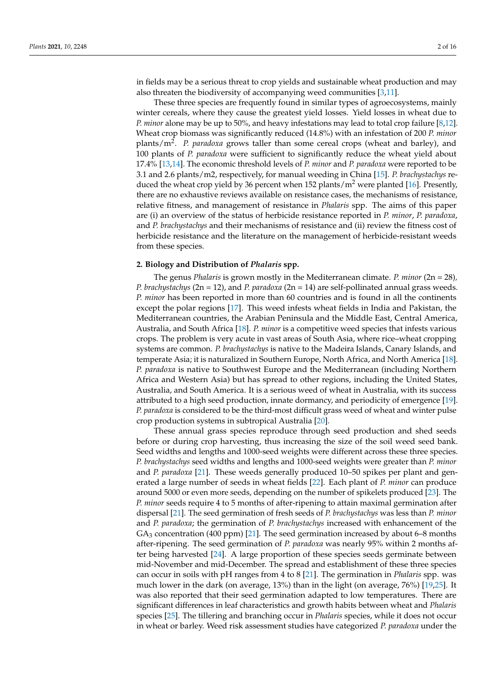in fields may be a serious threat to crop yields and sustainable wheat production and may also threaten the biodiversity of accompanying weed communities [\[3](#page-10-2)[,11\]](#page-10-10).

These three species are frequently found in similar types of agroecosystems, mainly winter cereals, where they cause the greatest yield losses. Yield losses in wheat due to *P. minor* alone may be up to 50%, and heavy infestations may lead to total crop failure [\[8](#page-10-7)[,12\]](#page-11-0). Wheat crop biomass was significantly reduced (14.8%) with an infestation of 200 *P. minor* plants/m<sup>2</sup> . *P. paradoxa* grows taller than some cereal crops (wheat and barley), and 100 plants of *P. paradoxa* were sufficient to significantly reduce the wheat yield about 17.4% [\[13](#page-11-1)[,14\]](#page-11-2). The economic threshold levels of *P. minor* and *P. paradoxa* were reported to be 3.1 and 2.6 plants/m2, respectively, for manual weeding in China [\[15\]](#page-11-3). *P. brachystachys* reduced the wheat crop yield by 36 percent when 152 plants/ $m<sup>2</sup>$  were planted [\[16\]](#page-11-4). Presently, there are no exhaustive reviews available on resistance cases, the mechanisms of resistance, relative fitness, and management of resistance in *Phalaris* spp. The aims of this paper are (i) an overview of the status of herbicide resistance reported in *P. minor*, *P. paradoxa*, and *P. brachystachys* and their mechanisms of resistance and (ii) review the fitness cost of herbicide resistance and the literature on the management of herbicide-resistant weeds from these species.

#### **2. Biology and Distribution of** *Phalaris* **spp.**

The genus *Phalaris* is grown mostly in the Mediterranean climate. *P. minor* (2n = 28)*, P. brachystachys* (2n = 12), and *P. paradoxa* (2n = 14) are self-pollinated annual grass weeds. *P. minor* has been reported in more than 60 countries and is found in all the continents except the polar regions [\[17\]](#page-11-5). This weed infests wheat fields in India and Pakistan, the Mediterranean countries, the Arabian Peninsula and the Middle East, Central America, Australia, and South Africa [\[18\]](#page-11-6). *P. minor* is a competitive weed species that infests various crops. The problem is very acute in vast areas of South Asia, where rice–wheat cropping systems are common. *P. brachystachys* is native to the Madeira Islands, Canary Islands, and temperate Asia; it is naturalized in Southern Europe, North Africa, and North America [\[18\]](#page-11-6). *P. paradoxa* is native to Southwest Europe and the Mediterranean (including Northern Africa and Western Asia) but has spread to other regions, including the United States, Australia, and South America. It is a serious weed of wheat in Australia, with its success attributed to a high seed production, innate dormancy, and periodicity of emergence [\[19\]](#page-11-7). *P. paradoxa* is considered to be the third-most difficult grass weed of wheat and winter pulse crop production systems in subtropical Australia [\[20\]](#page-11-8).

These annual grass species reproduce through seed production and shed seeds before or during crop harvesting, thus increasing the size of the soil weed seed bank. Seed widths and lengths and 1000-seed weights were different across these three species. *P. brachystachys* seed widths and lengths and 1000-seed weights were greater than *P. minor* and *P. paradoxa* [\[21\]](#page-11-9). These weeds generally produced 10–50 spikes per plant and generated a large number of seeds in wheat fields [\[22\]](#page-11-10). Each plant of *P. minor* can produce around 5000 or even more seeds, depending on the number of spikelets produced [\[23\]](#page-11-11). The *P. minor* seeds require 4 to 5 months of after-ripening to attain maximal germination after dispersal [\[21\]](#page-11-9). The seed germination of fresh seeds of *P. brachystachys* was less than *P. minor* and *P. paradoxa*; the germination of *P. brachystachys* increased with enhancement of the  $GA<sub>3</sub> concentration (400 ppm)$  [\[21\]](#page-11-9). The seed germination increased by about 6–8 months after-ripening. The seed germination of *P. paradoxa* was nearly 95% within 2 months after being harvested [\[24\]](#page-11-12). A large proportion of these species seeds germinate between mid-November and mid-December. The spread and establishment of these three species can occur in soils with pH ranges from 4 to 8 [\[21\]](#page-11-9). The germination in *Phalaris* spp. was much lower in the dark (on average, 13%) than in the light (on average, 76%) [\[19](#page-11-7)[,25\]](#page-11-13). It was also reported that their seed germination adapted to low temperatures. There are significant differences in leaf characteristics and growth habits between wheat and *Phalaris* species [\[25\]](#page-11-13). The tillering and branching occur in *Phalaris* species, while it does not occur in wheat or barley. Weed risk assessment studies have categorized *P. paradoxa* under the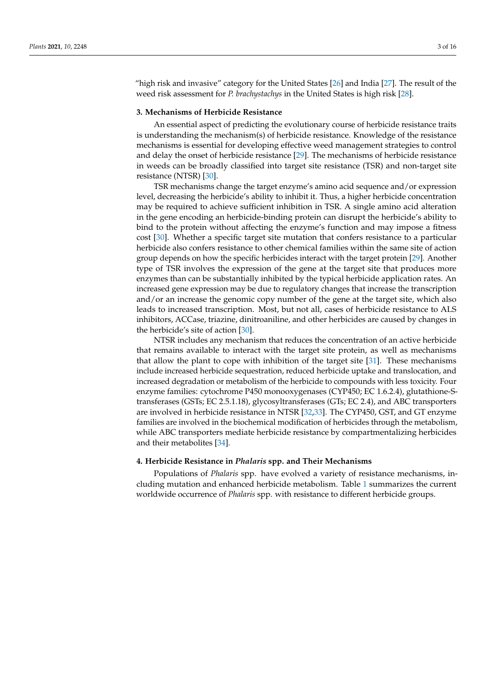"high risk and invasive" category for the United States [\[26\]](#page-11-14) and India [\[27\]](#page-11-15). The result of the weed risk assessment for *P. brachystachys* in the United States is high risk [\[28\]](#page-11-16).

## **3. Mechanisms of Herbicide Resistance**

An essential aspect of predicting the evolutionary course of herbicide resistance traits is understanding the mechanism(s) of herbicide resistance. Knowledge of the resistance mechanisms is essential for developing effective weed management strategies to control and delay the onset of herbicide resistance [\[29\]](#page-11-17). The mechanisms of herbicide resistance in weeds can be broadly classified into target site resistance (TSR) and non-target site resistance (NTSR) [\[30\]](#page-11-18).

TSR mechanisms change the target enzyme's amino acid sequence and/or expression level, decreasing the herbicide's ability to inhibit it. Thus, a higher herbicide concentration may be required to achieve sufficient inhibition in TSR. A single amino acid alteration in the gene encoding an herbicide-binding protein can disrupt the herbicide's ability to bind to the protein without affecting the enzyme's function and may impose a fitness cost [\[30\]](#page-11-18). Whether a specific target site mutation that confers resistance to a particular herbicide also confers resistance to other chemical families within the same site of action group depends on how the specific herbicides interact with the target protein [\[29\]](#page-11-17). Another type of TSR involves the expression of the gene at the target site that produces more enzymes than can be substantially inhibited by the typical herbicide application rates. An increased gene expression may be due to regulatory changes that increase the transcription and/or an increase the genomic copy number of the gene at the target site, which also leads to increased transcription. Most, but not all, cases of herbicide resistance to ALS inhibitors, ACCase, triazine, dinitroaniline, and other herbicides are caused by changes in the herbicide's site of action [\[30\]](#page-11-18).

NTSR includes any mechanism that reduces the concentration of an active herbicide that remains available to interact with the target site protein, as well as mechanisms that allow the plant to cope with inhibition of the target site [\[31\]](#page-11-19). These mechanisms include increased herbicide sequestration, reduced herbicide uptake and translocation, and increased degradation or metabolism of the herbicide to compounds with less toxicity. Four enzyme families: cytochrome P450 monooxygenases (CYP450; EC 1.6.2.4), glutathione-Stransferases (GSTs; EC 2.5.1.18), glycosyltransferases (GTs; EC 2.4), and ABC transporters are involved in herbicide resistance in NTSR [\[32](#page-11-20)[,33\]](#page-11-21). The CYP450, GST, and GT enzyme families are involved in the biochemical modification of herbicides through the metabolism, while ABC transporters mediate herbicide resistance by compartmentalizing herbicides and their metabolites [\[34\]](#page-11-22).

#### **4. Herbicide Resistance in** *Phalaris* **spp. and Their Mechanisms**

Populations of *Phalaris* spp. have evolved a variety of resistance mechanisms, including mutation and enhanced herbicide metabolism. Table [1](#page-3-0) summarizes the current worldwide occurrence of *Phalaris* spp. with resistance to different herbicide groups.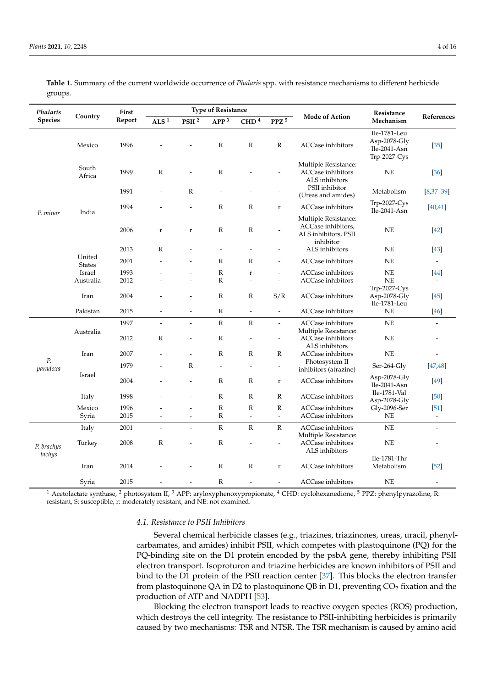| Phalaris<br>Species   | Country                 | First<br>Report | <b>Type of Resistance</b> |                          |                              |                                          |                                          |                                                                                 | Resistance                                                      |                                    |
|-----------------------|-------------------------|-----------------|---------------------------|--------------------------|------------------------------|------------------------------------------|------------------------------------------|---------------------------------------------------------------------------------|-----------------------------------------------------------------|------------------------------------|
|                       |                         |                 | ALS $1$                   | PSII <sup>2</sup>        | APP <sup>3</sup>             | $\mbox{CHD}\,{}^{4}$                     | ${\bf P} {\bf P} {\bf Z}$ $^5$           | <b>Mode of Action</b>                                                           | Mechanism                                                       | References                         |
| P. minor              | Mexico                  | 1996            |                           |                          | $\mathbb R$                  | ${\bf R}$                                | ${\bf R}$                                | <b>ACCase</b> inhibitors                                                        | Ile-1781-Leu<br>Asp-2078- $Gly$<br>Ile-2041-Asn<br>Trp-2027-Cys | $[35]$                             |
|                       | South<br>Africa         | 1999            | $\mathbb{R}$              |                          | ${\bf R}$                    |                                          |                                          | Multiple Resistance:<br><b>ACCase</b> inhibitors<br>ALS inhibitors              | NE                                                              | $[36]$                             |
|                       | India                   | 1991            |                           | ${\mathbb R}$            |                              |                                          |                                          | PSII inhibitor<br>(Ureas and amides)                                            | Metabolism                                                      | $[8,37-39]$                        |
|                       |                         | 1994            |                           | $\overline{a}$           | ${\bf R}$                    | ${\bf R}$                                | $\bf r$                                  | <b>ACCase</b> inhibitors                                                        | Trp-2027-Cys<br>Ile-2041-Asn                                    | [40, 41]                           |
|                       |                         | 2006            | $\mathbf r$               | $\mathbf r$              | ${\bf R}$                    | ${\bf R}$                                |                                          | Multiple Resistance:<br>ACCase inhibitors,<br>ALS inhibitors, PSII<br>inhibitor | <b>NE</b>                                                       | $[42]$                             |
|                       | United<br><b>States</b> | 2013            | $\mathbb{R}$              |                          | $\overline{a}$               |                                          |                                          | ALS inhibitors                                                                  | <b>NE</b>                                                       | $[43]$                             |
|                       |                         | 2001            |                           |                          | $\mathbb{R}$                 | $\mathbb{R}$                             |                                          | <b>ACCase</b> inhibitors                                                        | <b>NE</b>                                                       |                                    |
|                       | Israel<br>Australia     | 1993<br>2012    |                           |                          | $\mathbb R$<br>$\mathbb{R}$  | $\mathbf r$<br>$\overline{a}$            | ÷,                                       | <b>ACCase</b> inhibitors<br><b>ACCase</b> inhibitors                            | NE<br><b>NE</b>                                                 | $[44]$                             |
|                       | Iran                    | 2004            |                           |                          | $\mathbb{R}$                 | R                                        | S/R                                      | <b>ACCase</b> inhibitors                                                        | Trp-2027-Cys<br>Asp-2078-Gly<br>Ile-1781-Leu                    | $[45]$                             |
|                       | Pakistan                | 2015            |                           | $\overline{\phantom{a}}$ | $\mathbb{R}$                 | $\overline{\phantom{a}}$                 | $\overline{\phantom{a}}$                 | <b>ACCase</b> inhibitors                                                        | NE                                                              | $[46]$                             |
| Р.<br>paradoxa        | Australia               | 1997            | $\overline{\phantom{0}}$  | $\overline{a}$           | $\mathbb{R}$                 | $\mathbb R$                              | $\overline{\phantom{a}}$                 | ACCase inhibitors                                                               | <b>NE</b>                                                       |                                    |
|                       |                         | 2012            | $\mathbb{R}$              | $\overline{a}$           | $\mathbb{R}$                 |                                          |                                          | Multiple Resistance:<br><b>ACCase</b> inhibitors<br>ALS inhibitors              | <b>NE</b>                                                       |                                    |
|                       | Iran                    | 2007            |                           |                          | $\mathbb{R}$                 | $\mathbb{R}$                             | $\mathbb{R}$                             | ACCase inhibitors                                                               | <b>NE</b>                                                       |                                    |
|                       | Israel                  | 1979            |                           | $\mathbb R$              |                              |                                          |                                          | Photosystem II<br>inhibitors (atrazine)                                         | Ser-264-Gly                                                     | [47, 48]                           |
|                       |                         | 2004            |                           | $\overline{a}$           | $\mathbb{R}$                 | $\mathbb{R}$                             | $\bf r$                                  | <b>ACCase</b> inhibitors                                                        | Asp-2078-Gly<br>$Ile-2041-Asn$                                  | $[49]$                             |
|                       | Italy                   | 1998            |                           |                          | $\mathbb{R}$                 | $\mathbb{R}$                             | $\mathbb{R}$                             | <b>ACCase</b> inhibitors                                                        | Ile-1781-Val<br>Asp-2078-Gly                                    | $[50]$                             |
|                       | Mexico<br>Syria         | 1996<br>2015    |                           |                          | $\mathbb{R}$<br>$\mathbb{R}$ | $\mathbb{R}$<br>$\overline{\phantom{a}}$ | $\mathbb{R}$<br>$\overline{\phantom{a}}$ | <b>ACCase</b> inhibitors<br><b>ACCase</b> inhibitors                            | Gly-2096-Ser<br>NE                                              | $[51]$<br>$\overline{\phantom{a}}$ |
| P. brachys-<br>tachys | Italy                   | 2001            | $\overline{\phantom{a}}$  | $\overline{a}$           | $\mathbb{R}$                 | $\mathbb{R}$                             | $\mathbb{R}$                             | <b>ACCase</b> inhibitors<br>Multiple Resistance:                                | NE                                                              | $\overline{\phantom{a}}$           |
|                       | Turkey                  | 2008            | $\mathbb{R}$              | $\overline{a}$           | $\mathbb{R}$                 |                                          | ÷,                                       | <b>ACCase</b> inhibitors<br>ALS inhibitors                                      | <b>NE</b>                                                       |                                    |
|                       | Iran                    | 2014            |                           |                          | $\mathbb{R}$                 | $\mathbb{R}$                             | $\bf r$                                  | <b>ACCase</b> inhibitors                                                        | Ile-1781-Thr<br>Metabolism                                      | $[52]$                             |
|                       | Syria                   | 2015            |                           |                          | $\mathbb{R}$                 |                                          | $\overline{a}$                           | <b>ACCase</b> inhibitors                                                        | <b>NE</b>                                                       | $\overline{a}$                     |

<span id="page-3-0"></span>**Table 1.** Summary of the current worldwide occurrence of *Phalaris* spp. with resistance mechanisms to different herbicide groups.

<sup>1</sup> Acetolactate synthase, <sup>2</sup> photosystem II, <sup>3</sup> APP: aryloxyphenoxypropionate, <sup>4</sup> CHD: cyclohexanedione, <sup>5</sup> PPZ: phenylpyrazoline, R: resistant, S: susceptible, r: moderately resistant, and NE: not examined.

## *4.1. Resistance to PSII Inhibitors*

Several chemical herbicide classes (e.g., triazines, triazinones, ureas, uracil, phenylcarbamates, and amides) inhibit PSII, which competes with plastoquinone (PQ) for the PQ-binding site on the D1 protein encoded by the psbA gene, thereby inhibiting PSII electron transport. Isoproturon and triazine herbicides are known inhibitors of PSII and bind to the D1 protein of the PSII reaction center [\[37\]](#page-11-25). This blocks the electron transfer from plastoquinone QA in D2 to plastoquinone QB in D1, preventing  $CO<sub>2</sub>$  fixation and the production of ATP and NADPH [\[53\]](#page-12-12).

Blocking the electron transport leads to reactive oxygen species (ROS) production, which destroys the cell integrity. The resistance to PSII-inhibiting herbicides is primarily caused by two mechanisms: TSR and NTSR. The TSR mechanism is caused by amino acid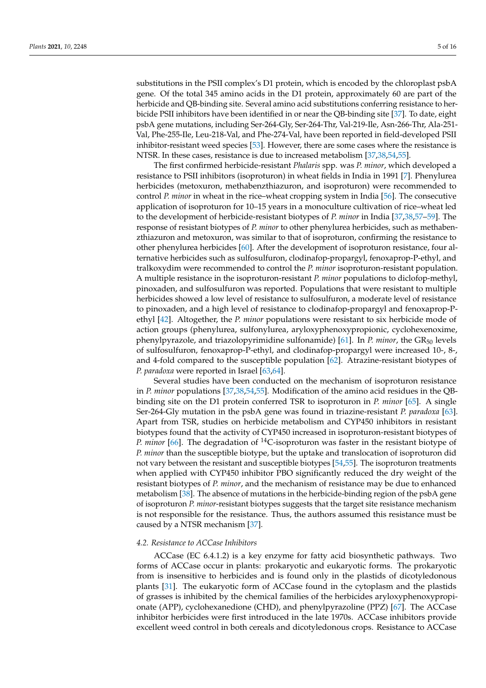substitutions in the PSII complex's D1 protein, which is encoded by the chloroplast psbA gene. Of the total 345 amino acids in the D1 protein, approximately 60 are part of the herbicide and QB-binding site. Several amino acid substitutions conferring resistance to herbicide PSII inhibitors have been identified in or near the QB-binding site [\[37\]](#page-11-25). To date, eight psbA gene mutations, including Ser-264-Gly, Ser-264-Thr, Val-219-Ile, Asn-266-Thr, Ala-251- Val, Phe-255-Ile, Leu-218-Val, and Phe-274-Val, have been reported in field-developed PSII inhibitor-resistant weed species [\[53\]](#page-12-12). However, there are some cases where the resistance is NTSR. In these cases, resistance is due to increased metabolism [\[37](#page-11-25)[,38](#page-11-28)[,54](#page-12-13)[,55\]](#page-12-14).

The first confirmed herbicide-resistant *Phalaris* spp. was *P. minor*, which developed a resistance to PSII inhibitors (isoproturon) in wheat fields in India in 1991 [\[7\]](#page-10-6). Phenylurea herbicides (metoxuron, methabenzthiazuron, and isoproturon) were recommended to control *P. minor* in wheat in the rice–wheat cropping system in India [\[56\]](#page-12-15). The consecutive application of isoproturon for 10–15 years in a monoculture cultivation of rice–wheat led to the development of herbicide-resistant biotypes of *P. minor* in India [\[37](#page-11-25)[,38](#page-11-28)[,57](#page-12-16)[–59\]](#page-12-17). The response of resistant biotypes of *P. minor* to other phenylurea herbicides, such as methabenzthiazuron and metoxuron, was similar to that of isoproturon, confirming the resistance to other phenylurea herbicides [\[60\]](#page-12-18). After the development of isoproturon resistance, four alternative herbicides such as sulfosulfuron, clodinafop-propargyl, fenoxaprop-P-ethyl, and tralkoxydim were recommended to control the *P. minor* isoproturon-resistant population. A multiple resistance in the isoproturon-resistant *P. minor* populations to diclofop-methyl, pinoxaden, and sulfosulfuron was reported. Populations that were resistant to multiple herbicides showed a low level of resistance to sulfosulfuron, a moderate level of resistance to pinoxaden, and a high level of resistance to clodinafop-propargyl and fenoxaprop-Pethyl [\[42\]](#page-12-1). Altogether, the *P. minor* populations were resistant to six herbicide mode of action groups (phenylurea, sulfonylurea, aryloxyphenoxypropionic, cyclohexenoxime, phenylpyrazole, and triazolopyrimidine sulfonamide) [\[61\]](#page-12-19). In *P. minor*, the GR<sup>50</sup> levels of sulfosulfuron, fenoxaprop-P-ethyl, and clodinafop-propargyl were increased 10-, 8-, and 4-fold compared to the susceptible population [\[62\]](#page-12-20). Atrazine-resistant biotypes of *P. paradoxa* were reported in Israel [\[63](#page-12-21)[,64\]](#page-12-22).

Several studies have been conducted on the mechanism of isoproturon resistance in *P. minor* populations [\[37](#page-11-25)[,38](#page-11-28)[,54](#page-12-13)[,55\]](#page-12-14). Modification of the amino acid residues in the QBbinding site on the D1 protein conferred TSR to isoproturon in *P. minor* [\[65\]](#page-12-23). A single Ser-264-Gly mutation in the psbA gene was found in triazine-resistant *P. paradoxa* [\[63\]](#page-12-21). Apart from TSR, studies on herbicide metabolism and CYP450 inhibitors in resistant biotypes found that the activity of CYP450 increased in isoproturon-resistant biotypes of *P. minor* [\[66\]](#page-12-24). The degradation of <sup>14</sup>C-isoproturon was faster in the resistant biotype of *P. minor* than the susceptible biotype, but the uptake and translocation of isoproturon did not vary between the resistant and susceptible biotypes [\[54](#page-12-13)[,55\]](#page-12-14). The isoproturon treatments when applied with CYP450 inhibitor PBO significantly reduced the dry weight of the resistant biotypes of *P. minor*, and the mechanism of resistance may be due to enhanced metabolism [\[38\]](#page-11-28). The absence of mutations in the herbicide-binding region of the psbA gene of isoproturon *P. minor*-resistant biotypes suggests that the target site resistance mechanism is not responsible for the resistance. Thus, the authors assumed this resistance must be caused by a NTSR mechanism [\[37\]](#page-11-25).

#### *4.2. Resistance to ACCase Inhibitors*

ACCase (EC 6.4.1.2) is a key enzyme for fatty acid biosynthetic pathways. Two forms of ACCase occur in plants: prokaryotic and eukaryotic forms. The prokaryotic from is insensitive to herbicides and is found only in the plastids of dicotyledonous plants [\[31\]](#page-11-19). The eukaryotic form of ACCase found in the cytoplasm and the plastids of grasses is inhibited by the chemical families of the herbicides aryloxyphenoxypropionate (APP), cyclohexanedione (CHD), and phenylpyrazoline (PPZ) [\[67\]](#page-12-25). The ACCase inhibitor herbicides were first introduced in the late 1970s. ACCase inhibitors provide excellent weed control in both cereals and dicotyledonous crops. Resistance to ACCase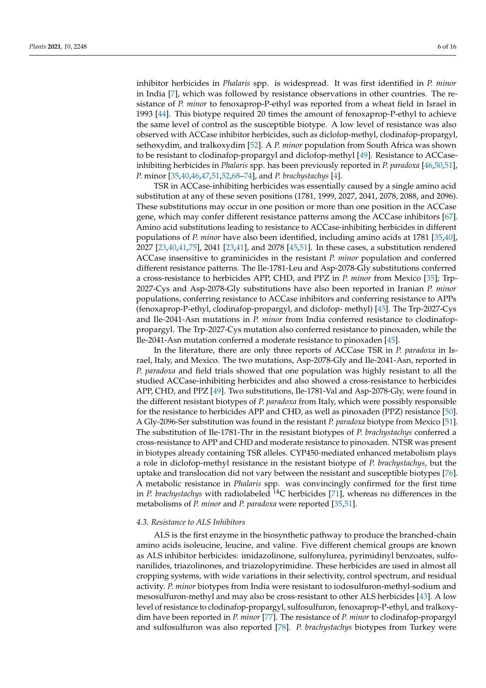inhibitor herbicides in *Phalaris* spp. is widespread. It was first identified in *P. minor* in India [\[7\]](#page-10-6), which was followed by resistance observations in other countries. The resistance of *P. minor* to fenoxaprop-P-ethyl was reported from a wheat field in Israel in 1993 [\[44\]](#page-12-3). This biotype required 20 times the amount of fenoxaprop-P-ethyl to achieve the same level of control as the susceptible biotype. A low level of resistance was also observed with ACCase inhibitor herbicides, such as diclofop-methyl, clodinafop-propargyl, sethoxydim, and tralkoxydim [\[52\]](#page-12-11). A *P. minor* population from South Africa was shown to be resistant to clodinafop-propargyl and diclofop-methyl [\[49\]](#page-12-8). Resistance to ACCaseinhibiting herbicides in *Phalaris* spp. has been previously reported in *P. paradoxa* [\[46](#page-12-5)[,50](#page-12-9)[,51\]](#page-12-10), *P.* minor [\[35](#page-11-23)[,40](#page-11-27)[,46](#page-12-5)[,47,](#page-12-6)[51,](#page-12-10)[52,](#page-12-11)[68](#page-12-26)[–74\]](#page-13-0), and *P. brachystachys* [\[4\]](#page-10-3).

TSR in ACCase-inhibiting herbicides was essentially caused by a single amino acid substitution at any of these seven positions (1781, 1999, 2027, 2041, 2078, 2088, and 2096). These substitutions may occur in one position or more than one position in the ACCase gene, which may confer different resistance patterns among the ACCase inhibitors [\[67\]](#page-12-25). Amino acid substitutions leading to resistance to ACCase-inhibiting herbicides in different populations of *P. minor* have also been identified, including amino acids at 1781 [\[35,](#page-11-23)[40\]](#page-11-27), 2027 [\[23](#page-11-11)[,40](#page-11-27)[,41](#page-12-0)[,75\]](#page-13-1), 2041 [\[23,](#page-11-11)[41\]](#page-12-0), and 2078 [\[45,](#page-12-4)[51\]](#page-12-10). In these cases, a substitution rendered ACCase insensitive to graminicides in the resistant *P. minor* population and conferred different resistance patterns. The Ile-1781-Leu and Asp-2078-Gly substitutions conferred a cross-resistance to herbicides APP, CHD, and PPZ in *P. minor* from Mexico [\[35\]](#page-11-23); Trp-2027-Cys and Asp-2078-Gly substitutions have also been reported in Iranian *P. minor* populations, conferring resistance to ACCase inhibitors and conferring resistance to APPs (fenoxaprop-P-ethyl, clodinafop-propargyl, and diclofop- methyl) [\[45\]](#page-12-4). The Trp-2027-Cys and Ile-2041-Asn mutations in *P. minor* from India conferred resistance to clodinafoppropargyl. The Trp-2027-Cys mutation also conferred resistance to pinoxaden, while the Ile-2041-Asn mutation conferred a moderate resistance to pinoxaden [\[45\]](#page-12-4).

In the literature, there are only three reports of ACCase TSR in *P. paradoxa* in Israel, Italy, and Mexico. The two mutations, Asp-2078-Gly and Ile-2041-Asn, reported in *P. paradoxa* and field trials showed that one population was highly resistant to all the studied ACCase-inhibiting herbicides and also showed a cross-resistance to herbicides APP, CHD, and PPZ [\[49\]](#page-12-8). Two substitutions, Ile-1781-Val and Asp-2078-Gly, were found in the different resistant biotypes of *P. paradoxa* from Italy, which were possibly responsible for the resistance to herbicides APP and CHD, as well as pinoxaden (PPZ) resistance [\[50\]](#page-12-9). A Gly-2096-Ser substitution was found in the resistant *P. paradoxa* biotype from Mexico [\[51\]](#page-12-10). The substitution of Ile-1781-Thr in the resistant biotypes of *P. brachystachys* conferred a cross-resistance to APP and CHD and moderate resistance to pinoxaden. NTSR was present in biotypes already containing TSR alleles. CYP450-mediated enhanced metabolism plays a role in diclofop-methyl resistance in the resistant biotype of *P. brachystachys*, but the uptake and translocation did not vary between the resistant and susceptible biotypes [\[76\]](#page-13-2). A metabolic resistance in *Phalaris* spp. was convincingly confirmed for the first time in *P. brachystachys* with radiolabeled <sup>14</sup>C herbicides [\[71\]](#page-13-3), whereas no differences in the metabolisms of *P. minor* and *P. paradoxa* were reported [\[35](#page-11-23)[,51\]](#page-12-10).

### *4.3. Resistance to ALS Inhibitors*

ALS is the first enzyme in the biosynthetic pathway to produce the branched-chain amino acids isoleucine, leucine, and valine. Five different chemical groups are known as ALS inhibitor herbicides: imidazolinone, sulfonylurea, pyrimidinyl benzoates, sulfonanilides, triazolinones, and triazolopyrimidine. These herbicides are used in almost all cropping systems, with wide variations in their selectivity, control spectrum, and residual activity. *P. minor* biotypes from India were resistant to iodosulfuron-methyl-sodium and mesosulfuron-methyl and may also be cross-resistant to other ALS herbicides [\[43\]](#page-12-2). A low level of resistance to clodinafop-propargyl, sulfosulfuron, fenoxaprop-P-ethyl, and tralkoxydim have been reported in *P. minor* [\[77\]](#page-13-4). The resistance of *P. minor* to clodinafop-propargyl and sulfosulfuron was also reported [\[78\]](#page-13-5). *P. brachystachys* biotypes from Turkey were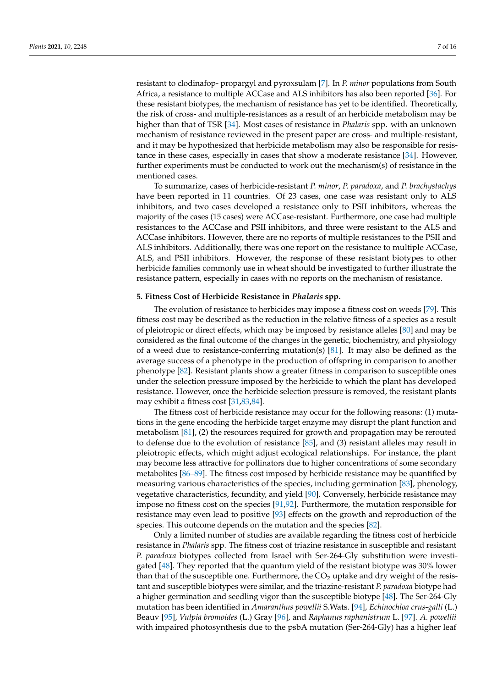resistant to clodinafop- propargyl and pyroxsulam [\[7\]](#page-10-6). In *P. minor* populations from South Africa, a resistance to multiple ACCase and ALS inhibitors has also been reported [\[36\]](#page-11-24). For these resistant biotypes, the mechanism of resistance has yet to be identified. Theoretically, the risk of cross- and multiple-resistances as a result of an herbicide metabolism may be higher than that of TSR [\[34\]](#page-11-22). Most cases of resistance in *Phalaris* spp. with an unknown mechanism of resistance reviewed in the present paper are cross- and multiple-resistant, and it may be hypothesized that herbicide metabolism may also be responsible for resistance in these cases, especially in cases that show a moderate resistance [\[34\]](#page-11-22). However, further experiments must be conducted to work out the mechanism(s) of resistance in the mentioned cases.

To summarize, cases of herbicide-resistant *P. minor*, *P. paradoxa*, and *P. brachystachys* have been reported in 11 countries. Of 23 cases, one case was resistant only to ALS inhibitors, and two cases developed a resistance only to PSII inhibitors, whereas the majority of the cases (15 cases) were ACCase-resistant. Furthermore, one case had multiple resistances to the ACCase and PSII inhibitors, and three were resistant to the ALS and ACCase inhibitors. However, there are no reports of multiple resistances to the PSII and ALS inhibitors. Additionally, there was one report on the resistance to multiple ACCase, ALS, and PSII inhibitors. However, the response of these resistant biotypes to other herbicide families commonly use in wheat should be investigated to further illustrate the resistance pattern, especially in cases with no reports on the mechanism of resistance.

#### **5. Fitness Cost of Herbicide Resistance in** *Phalaris* **spp.**

The evolution of resistance to herbicides may impose a fitness cost on weeds [\[79\]](#page-13-6). This fitness cost may be described as the reduction in the relative fitness of a species as a result of pleiotropic or direct effects, which may be imposed by resistance alleles [\[80\]](#page-13-7) and may be considered as the final outcome of the changes in the genetic, biochemistry, and physiology of a weed due to resistance-conferring mutation(s) [\[81\]](#page-13-8). It may also be defined as the average success of a phenotype in the production of offspring in comparison to another phenotype [\[82\]](#page-13-9). Resistant plants show a greater fitness in comparison to susceptible ones under the selection pressure imposed by the herbicide to which the plant has developed resistance. However, once the herbicide selection pressure is removed, the resistant plants may exhibit a fitness cost [\[31,](#page-11-19)[83,](#page-13-10)[84\]](#page-13-11).

The fitness cost of herbicide resistance may occur for the following reasons: (1) mutations in the gene encoding the herbicide target enzyme may disrupt the plant function and metabolism  $[81]$ ,  $(2)$  the resources required for growth and propagation may be rerouted to defense due to the evolution of resistance [\[85\]](#page-13-12), and (3) resistant alleles may result in pleiotropic effects, which might adjust ecological relationships. For instance, the plant may become less attractive for pollinators due to higher concentrations of some secondary metabolites [\[86](#page-13-13)[–89\]](#page-13-14). The fitness cost imposed by herbicide resistance may be quantified by measuring various characteristics of the species, including germination [\[83\]](#page-13-10), phenology, vegetative characteristics, fecundity, and yield [\[90\]](#page-13-15). Conversely, herbicide resistance may impose no fitness cost on the species [\[91,](#page-13-16)[92\]](#page-13-17). Furthermore, the mutation responsible for resistance may even lead to positive [\[93\]](#page-13-18) effects on the growth and reproduction of the species. This outcome depends on the mutation and the species [\[82\]](#page-13-9).

Only a limited number of studies are available regarding the fitness cost of herbicide resistance in *Phalaris* spp. The fitness cost of triazine resistance in susceptible and resistant *P. paradoxa* biotypes collected from Israel with Ser-264-Gly substitution were investigated [\[48\]](#page-12-7). They reported that the quantum yield of the resistant biotype was 30% lower than that of the susceptible one. Furthermore, the  $CO<sub>2</sub>$  uptake and dry weight of the resistant and susceptible biotypes were similar, and the triazine-resistant *P. paradoxa* biotype had a higher germination and seedling vigor than the susceptible biotype [\[48\]](#page-12-7). The Ser-264-Gly mutation has been identified in *Amaranthus powellii* S.Wats. [\[94\]](#page-13-19), *Echinochloa crus-galli* (L.) Beauv [\[95\]](#page-14-0), *Vulpia bromoides* (L.) Gray [\[96\]](#page-14-1), and *Raphanus raphanistrum* L. [\[97\]](#page-14-2). *A. powellii* with impaired photosynthesis due to the psbA mutation (Ser-264-Gly) has a higher leaf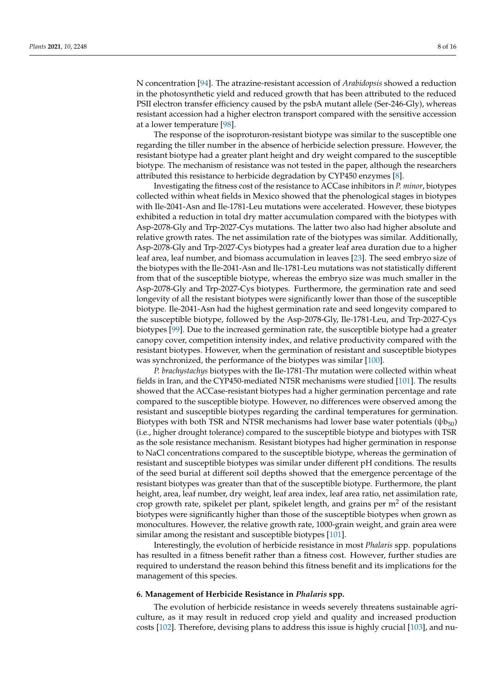N concentration [\[94\]](#page-13-19). The atrazine-resistant accession of *Arabidopsis* showed a reduction in the photosynthetic yield and reduced growth that has been attributed to the reduced PSII electron transfer efficiency caused by the psbA mutant allele (Ser-246-Gly), whereas resistant accession had a higher electron transport compared with the sensitive accession at a lower temperature [\[98\]](#page-14-3).

The response of the isoproturon-resistant biotype was similar to the susceptible one regarding the tiller number in the absence of herbicide selection pressure. However, the resistant biotype had a greater plant height and dry weight compared to the susceptible biotype. The mechanism of resistance was not tested in the paper, although the researchers attributed this resistance to herbicide degradation by CYP450 enzymes [\[8\]](#page-10-7).

Investigating the fitness cost of the resistance to ACCase inhibitors in *P. minor*, biotypes collected within wheat fields in Mexico showed that the phenological stages in biotypes with Ile-2041-Asn and Ile-1781-Leu mutations were accelerated. However, these biotypes exhibited a reduction in total dry matter accumulation compared with the biotypes with Asp-2078-Gly and Trp-2027-Cys mutations. The latter two also had higher absolute and relative growth rates. The net assimilation rate of the biotypes was similar. Additionally, Asp-2078-Gly and Trp-2027-Cys biotypes had a greater leaf area duration due to a higher leaf area, leaf number, and biomass accumulation in leaves [\[23\]](#page-11-11). The seed embryo size of the biotypes with the Ile-2041-Asn and Ile-1781-Leu mutations was not statistically different from that of the susceptible biotype, whereas the embryo size was much smaller in the Asp-2078-Gly and Trp-2027-Cys biotypes. Furthermore, the germination rate and seed longevity of all the resistant biotypes were significantly lower than those of the susceptible biotype. Ile-2041-Asn had the highest germination rate and seed longevity compared to the susceptible biotype, followed by the Asp-2078-Gly, Ile-1781-Leu, and Trp-2027-Cys biotypes [\[99\]](#page-14-4). Due to the increased germination rate, the susceptible biotype had a greater canopy cover, competition intensity index, and relative productivity compared with the resistant biotypes. However, when the germination of resistant and susceptible biotypes was synchronized, the performance of the biotypes was similar [\[100\]](#page-14-5).

*P. brachystachys* biotypes with the Ile-1781-Thr mutation were collected within wheat fields in Iran, and the CYP450-mediated NTSR mechanisms were studied [\[101\]](#page-14-6). The results showed that the ACCase-resistant biotypes had a higher germination percentage and rate compared to the susceptible biotype. However, no differences were observed among the resistant and susceptible biotypes regarding the cardinal temperatures for germination. Biotypes with both TSR and NTSR mechanisms had lower base water potentials  $(\psi b_{50})$ (i.e., higher drought tolerance) compared to the susceptible biotype and biotypes with TSR as the sole resistance mechanism. Resistant biotypes had higher germination in response to NaCl concentrations compared to the susceptible biotype, whereas the germination of resistant and susceptible biotypes was similar under different pH conditions. The results of the seed burial at different soil depths showed that the emergence percentage of the resistant biotypes was greater than that of the susceptible biotype. Furthermore, the plant height, area, leaf number, dry weight, leaf area index, leaf area ratio, net assimilation rate, crop growth rate, spikelet per plant, spikelet length, and grains per  $m<sup>2</sup>$  of the resistant biotypes were significantly higher than those of the susceptible biotypes when grown as monocultures. However, the relative growth rate, 1000-grain weight, and grain area were similar among the resistant and susceptible biotypes [\[101\]](#page-14-6).

Interestingly, the evolution of herbicide resistance in most *Phalaris* spp. populations has resulted in a fitness benefit rather than a fitness cost. However, further studies are required to understand the reason behind this fitness benefit and its implications for the management of this species.

## **6. Management of Herbicide Resistance in** *Phalaris* **spp.**

The evolution of herbicide resistance in weeds severely threatens sustainable agriculture, as it may result in reduced crop yield and quality and increased production costs [\[102\]](#page-14-7). Therefore, devising plans to address this issue is highly crucial [\[103\]](#page-14-8), and nu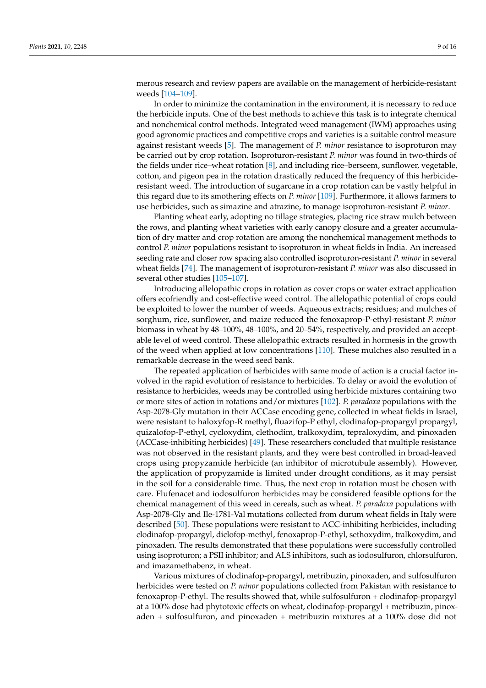merous research and review papers are available on the management of herbicide-resistant weeds [\[104–](#page-14-9)[109\]](#page-14-10).

In order to minimize the contamination in the environment, it is necessary to reduce the herbicide inputs. One of the best methods to achieve this task is to integrate chemical and nonchemical control methods. Integrated weed management (IWM) approaches using good agronomic practices and competitive crops and varieties is a suitable control measure against resistant weeds [\[5\]](#page-10-4). The management of *P. minor* resistance to isoproturon may be carried out by crop rotation. Isoproturon-resistant *P. minor* was found in two-thirds of the fields under rice–wheat rotation [\[8\]](#page-10-7), and including rice–berseem, sunflower, vegetable, cotton, and pigeon pea in the rotation drastically reduced the frequency of this herbicideresistant weed. The introduction of sugarcane in a crop rotation can be vastly helpful in this regard due to its smothering effects on *P. minor* [\[109\]](#page-14-10). Furthermore, it allows farmers to use herbicides, such as simazine and atrazine, to manage isoproturon-resistant *P. minor*.

Planting wheat early, adopting no tillage strategies, placing rice straw mulch between the rows, and planting wheat varieties with early canopy closure and a greater accumulation of dry matter and crop rotation are among the nonchemical management methods to control *P. minor* populations resistant to isoproturon in wheat fields in India. An increased seeding rate and closer row spacing also controlled isoproturon-resistant *P. minor* in several wheat fields [\[74\]](#page-13-0). The management of isoproturon-resistant *P. minor* was also discussed in several other studies [\[105–](#page-14-11)[107\]](#page-14-12).

Introducing allelopathic crops in rotation as cover crops or water extract application offers ecofriendly and cost-effective weed control. The allelopathic potential of crops could be exploited to lower the number of weeds. Aqueous extracts; residues; and mulches of sorghum, rice, sunflower, and maize reduced the fenoxaprop-P-ethyl-resistant *P. minor* biomass in wheat by 48–100%, 48–100%, and 20–54%, respectively, and provided an acceptable level of weed control. These allelopathic extracts resulted in hormesis in the growth of the weed when applied at low concentrations [\[110\]](#page-14-13). These mulches also resulted in a remarkable decrease in the weed seed bank.

The repeated application of herbicides with same mode of action is a crucial factor involved in the rapid evolution of resistance to herbicides. To delay or avoid the evolution of resistance to herbicides, weeds may be controlled using herbicide mixtures containing two or more sites of action in rotations and/or mixtures [\[102\]](#page-14-7). *P. paradoxa* populations with the Asp-2078-Gly mutation in their ACCase encoding gene, collected in wheat fields in Israel, were resistant to haloxyfop-R methyl, fluazifop-P ethyl, clodinafop-propargyl propargyl, quizalofop-P-ethyl, cycloxydim, clethodim, tralkoxydim, tepraloxydim, and pinoxaden (ACCase-inhibiting herbicides) [\[49\]](#page-12-8). These researchers concluded that multiple resistance was not observed in the resistant plants, and they were best controlled in broad-leaved crops using propyzamide herbicide (an inhibitor of microtubule assembly). However, the application of propyzamide is limited under drought conditions, as it may persist in the soil for a considerable time. Thus, the next crop in rotation must be chosen with care. Flufenacet and iodosulfuron herbicides may be considered feasible options for the chemical management of this weed in cereals, such as wheat. *P. paradoxa* populations with Asp-2078-Gly and Ile-1781-Val mutations collected from durum wheat fields in Italy were described [\[50\]](#page-12-9). These populations were resistant to ACC-inhibiting herbicides, including clodinafop-propargyl, diclofop-methyl, fenoxaprop-P-ethyl, sethoxydim, tralkoxydim, and pinoxaden. The results demonstrated that these populations were successfully controlled using isoproturon; a PSII inhibitor; and ALS inhibitors, such as iodosulfuron, chlorsulfuron, and imazamethabenz, in wheat.

Various mixtures of clodinafop-propargyl, metribuzin, pinoxaden, and sulfosulfuron herbicides were tested on *P. minor* populations collected from Pakistan with resistance to fenoxaprop-P-ethyl. The results showed that, while sulfosulfuron + clodinafop-propargyl at a 100% dose had phytotoxic effects on wheat, clodinafop-propargyl + metribuzin, pinoxaden + sulfosulfuron, and pinoxaden + metribuzin mixtures at a 100% dose did not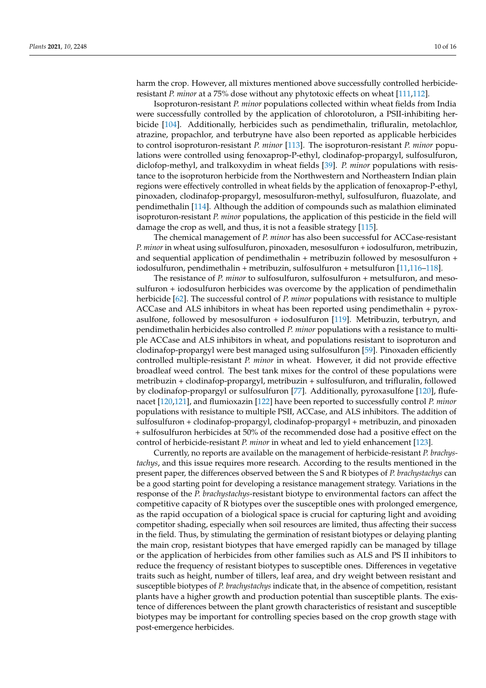harm the crop. However, all mixtures mentioned above successfully controlled herbicideresistant *P. minor* at a 75% dose without any phytotoxic effects on wheat [\[111](#page-14-14)[,112\]](#page-14-15).

Isoproturon-resistant *P. minor* populations collected within wheat fields from India were successfully controlled by the application of chlorotoluron, a PSII-inhibiting herbicide [\[104\]](#page-14-9). Additionally, herbicides such as pendimethalin, trifluralin, metolachlor, atrazine, propachlor, and terbutryne have also been reported as applicable herbicides to control isoproturon-resistant *P. minor* [\[113\]](#page-14-16). The isoproturon-resistant *P. minor* populations were controlled using fenoxaprop-P-ethyl, clodinafop-propargyl, sulfosulfuron, diclofop-methyl, and tralkoxydim in wheat fields [\[39\]](#page-11-26). *P. minor* populations with resistance to the isoproturon herbicide from the Northwestern and Northeastern Indian plain regions were effectively controlled in wheat fields by the application of fenoxaprop-P-ethyl, pinoxaden, clodinafop-propargyl, mesosulfuron-methyl, sulfosulfuron, fluazolate, and pendimethalin [\[114\]](#page-14-17). Although the addition of compounds such as malathion eliminated isoproturon-resistant *P. minor* populations, the application of this pesticide in the field will damage the crop as well, and thus, it is not a feasible strategy [\[115\]](#page-14-18).

The chemical management of *P. minor* has also been successful for ACCase-resistant *P. minor* in wheat using sulfosulfuron, pinoxaden, mesosulfuron + iodosulfuron, metribuzin, and sequential application of pendimethalin + metribuzin followed by mesosulfuron + iodosulfuron, pendimethalin + metribuzin, sulfosulfuron + metsulfuron [\[11,](#page-10-10)[116–](#page-14-19)[118\]](#page-14-20).

The resistance of *P. minor* to sulfosulfuron, sulfosulfuron + metsulfuron, and mesosulfuron + iodosulfuron herbicides was overcome by the application of pendimethalin herbicide [\[62\]](#page-12-20). The successful control of *P. minor* populations with resistance to multiple ACCase and ALS inhibitors in wheat has been reported using pendimethalin + pyroxasulfone, followed by mesosulfuron + iodosulfuron [\[119\]](#page-14-21). Metribuzin, terbutryn, and pendimethalin herbicides also controlled *P. minor* populations with a resistance to multiple ACCase and ALS inhibitors in wheat, and populations resistant to isoproturon and clodinafop-propargyl were best managed using sulfosulfuron [\[59\]](#page-12-17). Pinoxaden efficiently controlled multiple-resistant *P. minor* in wheat. However, it did not provide effective broadleaf weed control. The best tank mixes for the control of these populations were metribuzin + clodinafop-propargyl, metribuzin + sulfosulfuron, and trifluralin, followed by clodinafop-propargyl or sulfosulfuron [\[77\]](#page-13-4). Additionally, pyroxasulfone [\[120\]](#page-14-22), flufenacet [\[120](#page-14-22)[,121\]](#page-15-0), and flumioxazin [\[122\]](#page-15-1) have been reported to successfully control *P. minor* populations with resistance to multiple PSII, ACCase, and ALS inhibitors. The addition of sulfosulfuron + clodinafop-propargyl, clodinafop-propargyl + metribuzin, and pinoxaden + sulfosulfuron herbicides at 50% of the recommended dose had a positive effect on the control of herbicide-resistant *P. minor* in wheat and led to yield enhancement [\[123\]](#page-15-2).

Currently, no reports are available on the management of herbicide-resistant *P. brachystachys*, and this issue requires more research. According to the results mentioned in the present paper, the differences observed between the S and R biotypes of *P. brachystachys* can be a good starting point for developing a resistance management strategy. Variations in the response of the *P. brachystachys*-resistant biotype to environmental factors can affect the competitive capacity of R biotypes over the susceptible ones with prolonged emergence, as the rapid occupation of a biological space is crucial for capturing light and avoiding competitor shading, especially when soil resources are limited, thus affecting their success in the field. Thus, by stimulating the germination of resistant biotypes or delaying planting the main crop, resistant biotypes that have emerged rapidly can be managed by tillage or the application of herbicides from other families such as ALS and PS II inhibitors to reduce the frequency of resistant biotypes to susceptible ones. Differences in vegetative traits such as height, number of tillers, leaf area, and dry weight between resistant and susceptible biotypes of *P. brachystachys* indicate that, in the absence of competition, resistant plants have a higher growth and production potential than susceptible plants. The existence of differences between the plant growth characteristics of resistant and susceptible biotypes may be important for controlling species based on the crop growth stage with post-emergence herbicides.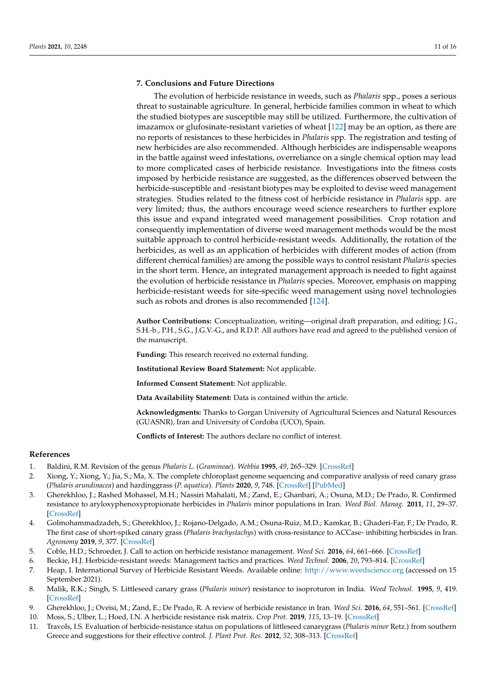## **7. Conclusions and Future Directions**

The evolution of herbicide resistance in weeds, such as *Phalaris* spp., poses a serious threat to sustainable agriculture. In general, herbicide families common in wheat to which the studied biotypes are susceptible may still be utilized. Furthermore, the cultivation of imazamox or glufosinate-resistant varieties of wheat [\[122\]](#page-15-1) may be an option, as there are no reports of resistances to these herbicides in *Phalaris* spp. The registration and testing of new herbicides are also recommended. Although herbicides are indispensable weapons in the battle against weed infestations, overreliance on a single chemical option may lead to more complicated cases of herbicide resistance. Investigations into the fitness costs imposed by herbicide resistance are suggested, as the differences observed between the herbicide-susceptible and -resistant biotypes may be exploited to devise weed management strategies. Studies related to the fitness cost of herbicide resistance in *Phalaris* spp. are very limited; thus, the authors encourage weed science researchers to further explore this issue and expand integrated weed management possibilities. Crop rotation and consequently implementation of diverse weed management methods would be the most suitable approach to control herbicide-resistant weeds. Additionally, the rotation of the herbicides, as well as an application of herbicides with different modes of action (from different chemical families) are among the possible ways to control resistant *Phalaris* species in the short term. Hence, an integrated management approach is needed to fight against the evolution of herbicide resistance in *Phalaris* species. Moreover, emphasis on mapping herbicide-resistant weeds for site-specific weed management using novel technologies such as robots and drones is also recommended [\[124\]](#page-15-3).

**Author Contributions:** Conceptualization, writing—original draft preparation, and editing; J.G., S.H.-b., P.H., S.G., J.G.V.-G., and R.D.P. All authors have read and agreed to the published version of the manuscript.

**Funding:** This research received no external funding.

**Institutional Review Board Statement:** Not applicable.

**Informed Consent Statement:** Not applicable.

**Data Availability Statement:** Data is contained within the article.

**Acknowledgments:** Thanks to Gorgan University of Agricultural Sciences and Natural Resources (GUASNR), Iran and University of Cordoba (UCO), Spain.

**Conflicts of Interest:** The authors declare no conflict of interest.

## **References**

- <span id="page-10-0"></span>1. Baldini, R.M. Revision of the genus *Phalaris L.* (*Gramineae*). *Webbia* **1995**, *49*, 265–329. [\[CrossRef\]](http://doi.org/10.1080/00837792.1995.10670587)
- <span id="page-10-1"></span>2. Xiong, Y.; Xiong, Y.; Jia, S.; Ma, X. The complete chloroplast genome sequencing and comparative analysis of reed canary grass (*Phalaris arundinacea*) and hardinggrass (*P. aquatica*). *Plants* **2020**, *9*, 748. [\[CrossRef\]](http://doi.org/10.3390/plants9060748) [\[PubMed\]](http://www.ncbi.nlm.nih.gov/pubmed/32545897)
- <span id="page-10-2"></span>3. Gherekhloo, J.; Rashed Mohassel, M.H.; Nassiri Mahalati, M.; Zand, E.; Ghanbari, A.; Osuna, M.D.; De Prado, R. Confirmed resistance to aryloxyphenoxypropionate herbicides in *Phalaris* minor populations in Iran. *Weed Biol. Manag.* **2011**, *11*, 29–37. [\[CrossRef\]](http://doi.org/10.1111/j.1445-6664.2011.00402.x)
- <span id="page-10-3"></span>4. Golmohammadzadeh, S.; Gherekhloo, J.; Rojano-Delgado, A.M.; Osuna-Ruiz, M.D.; Kamkar, B.; Ghaderi-Far, F.; De Prado, R. The first case of short-spiked canary grass (*Phalaris brachystachys*) with cross-resistance to ACCase- inhibiting herbicides in Iran. *Agronomy* **2019**, *9*, 377. [\[CrossRef\]](http://doi.org/10.3390/agronomy9070377)
- <span id="page-10-4"></span>5. Coble, H.D.; Schroeder, J. Call to action on herbicide resistance management. *Weed Sci.* **2016**, *64*, 661–666. [\[CrossRef\]](http://doi.org/10.1614/WS-D-15-00032.1)
- <span id="page-10-5"></span>6. Beckie, H.J. Herbicide-resistant weeds: Management tactics and practices. *Weed Technol.* **2006**, *20*, 793–814. [\[CrossRef\]](http://doi.org/10.1614/WT-05-084R1.1)
- <span id="page-10-6"></span>7. Heap, I. International Survey of Herbicide Resistant Weeds. Available online: <http://www.weedscience.org> (accessed on 15 September 2021).
- <span id="page-10-7"></span>8. Malik, R.K.; Singh, S. Littleseed canary grass (*Phalaris minor*) resistance to isoproturon in India. *Weed Technol.* **1995**, *9*, 419. [\[CrossRef\]](http://doi.org/10.1017/S0890037X00023629)
- <span id="page-10-8"></span>9. Gherekhloo, J.; Oveisi, M.; Zand, E.; De Prado, R. A review of herbicide resistance in Iran. *Weed Sci.* **2016**, *64*, 551–561. [\[CrossRef\]](http://doi.org/10.1614/WS-D-15-00139.1)
- <span id="page-10-9"></span>10. Moss, S.; Ulber, L.; Hoed, I.N. A herbicide resistance risk matrix. *Crop Prot.* **2019**, *115*, 13–19. [\[CrossRef\]](http://doi.org/10.1016/j.cropro.2018.09.005)
- <span id="page-10-10"></span>11. Travols, I.S. Evaluation of herbicide-resistance status on populations of littleseed canarygrass (*Phalaris minor* Retz.) from southern Greece and suggestions for their effective control. *J. Plant Prot. Res.* **2012**, *52*, 308–313. [\[CrossRef\]](http://doi.org/10.2478/v10045-012-0050-3)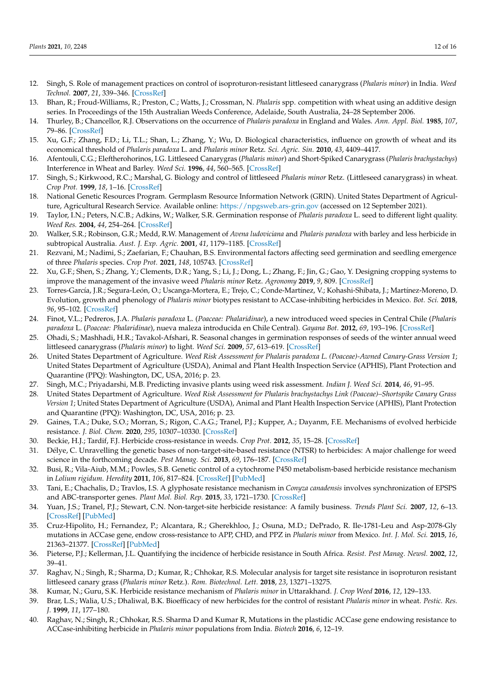- <span id="page-11-0"></span>12. Singh, S. Role of management practices on control of isoproturon-resistant littleseed canarygrass (*Phalaris minor*) in India. *Weed Technol.* **2007**, *21*, 339–346. [\[CrossRef\]](http://doi.org/10.1614/WT-06-150.1)
- <span id="page-11-1"></span>13. Bhan, R.; Froud-Williams, R.; Preston, C.; Watts, J.; Crossman, N. *Phalaris* spp. competition with wheat using an additive design series. In Proceedings of the 15th Australian Weeds Conference, Adelaide, South Australia, 24–28 September 2006.
- <span id="page-11-2"></span>14. Thurley, B.; Chancellor, R.J. Observations on the occurrence of *Phalaris paradoxa* in England and Wales. *Ann. Appl. Biol.* **1985**, *107*, 79–86. [\[CrossRef\]](http://doi.org/10.1111/j.1744-7348.1985.tb01549.x)
- <span id="page-11-3"></span>15. Xu, G.F.; Zhang, F.D.; Li, T.L.; Shan, L.; Zhang, Y.; Wu, D. Biological characteristics, influence on growth of wheat and its economical threshold of *Phalaris paradoxa* L. and *Phalaris minor* Retz. *Sci. Agric. Sin.* **2010**, *43*, 4409–4417.
- <span id="page-11-4"></span>16. Afentouli, C.G.; Eleftherohorinos, I.G. Littleseed Canarygras (*Phalaris minor*) and Short-Spiked Canarygrass (*Phalaris brachystachys*) Interference in Wheat and Barley. *Weed Sci.* **1996**, *44*, 560–565. [\[CrossRef\]](http://doi.org/10.1017/S0043174500094339)
- <span id="page-11-5"></span>17. Singh, S.; Kirkwood, R.C.; Marshal, G. Biology and control of littleseed *Phalaris minor* Retz. (Littleseed canarygrass) in wheat. *Crop Prot.* **1999**, *18*, 1–16. [\[CrossRef\]](http://doi.org/10.1016/S0261-2194(98)00090-8)
- <span id="page-11-6"></span>18. National Genetic Resources Program. Germplasm Resource Information Network (GRIN). United States Department of Agriculture, Agricultural Research Service. Available online: <https://npgsweb.ars-grin.gov> (accessed on 12 September 2021).
- <span id="page-11-7"></span>19. Taylor, I.N.; Peters, N.C.B.; Adkins, W.; Walker, S.R. Germination response of *Phalaris paradoxa* L. seed to different light quality. *Weed Res.* **2004**, *44*, 254–264. [\[CrossRef\]](http://doi.org/10.1111/j.1365-3180.2004.00397.x)
- <span id="page-11-8"></span>20. Walker, S.R.; Robinson, G.R.; Medd, R.W. Management of *Avena ludoviciana* and *Phalaris paradoxa* with barley and less herbicide in subtropical Australia. *Aust. J. Exp. Agric.* **2001**, *41*, 1179–1185. [\[CrossRef\]](http://doi.org/10.1071/EA01002)
- <span id="page-11-9"></span>21. Rezvani, M.; Nadimi, S.; Zaefarian, F.; Chauhan, B.S. Environmental factors affecting seed germination and seedling emergence of three *Phalaris* species. *Crop Prot.* **2021**, *148*, 105743. [\[CrossRef\]](http://doi.org/10.1016/j.cropro.2021.105743)
- <span id="page-11-10"></span>22. Xu, G.F.; Shen, S.; Zhang, Y.; Clements, D.R.; Yang, S.; Li, J.; Dong, L.; Zhang, F.; Jin, G.; Gao, Y. Designing cropping systems to improve the management of the invasive weed *Phalaris minor* Retz. *Agronomy* **2019**, *9*, 809. [\[CrossRef\]](http://doi.org/10.3390/agronomy9120809)
- <span id="page-11-11"></span>23. Torres-García, J.R.; Segura-León, O.; Uscanga-Mortera, E.; Trejo, C.; Conde-Martínez, V.; Kohashi-Shibata, J.; Martínez-Moreno, D. Evolution, growth and phenology of *Phalaris minor* biotypes resistant to ACCase-inhibiting herbicides in Mexico. *Bot. Sci.* **2018**, *96*, 95–102. [\[CrossRef\]](http://doi.org/10.17129/botsci.1338)
- <span id="page-11-12"></span>24. Finot, V.L.; Pedreros, J.A. *Phalaris paradoxa* L. (*Poaceae: Phalaridinae*), a new introduced weed species in Central Chile (*Phalaris paradoxa* L. (*Poaceae: Phalaridinae*), nueva maleza introducida en Chile Central). *Gayana Bot.* **2012**, *69*, 193–196. [\[CrossRef\]](http://doi.org/10.4067/S0717-66432012000100021)
- <span id="page-11-13"></span>25. Ohadi, S.; Mashhadi, H.R.; Tavakol-Afshari, R. Seasonal changes in germination responses of seeds of the winter annual weed littleseed canarygrass (*Phalaris minor*) to light. *Weed Sci.* **2009**, *57*, 613–619. [\[CrossRef\]](http://doi.org/10.1614/WS-09-084.1)
- <span id="page-11-14"></span>26. United States Department of Agriculture. *Weed Risk Assessment for Phalaris paradoxa L. (Poaceae)-Awned Canary-Grass Version 1*; United States Department of Agriculture (USDA), Animal and Plant Health Inspection Service (APHIS), Plant Protection and Quarantine (PPQ): Washington, DC, USA, 2016; p. 23.
- <span id="page-11-15"></span>27. Singh, M.C.; Priyadarshi, M.B. Predicting invasive plants using weed risk assessment. *Indian J. Weed Sci.* **2014**, *46*, 91–95.
- <span id="page-11-16"></span>28. United States Department of Agriculture. *Weed Risk Assessment for Phalaris brachystachys Link (Poaceae)–Shortspike Canary Grass Version 1*; United States Department of Agriculture (USDA), Animal and Plant Health Inspection Service (APHIS), Plant Protection and Quarantine (PPQ): Washington, DC, USA, 2016; p. 23.
- <span id="page-11-17"></span>29. Gaines, T.A.; Duke, S.O.; Morran, S.; Rigon, C.A.G.; Tranel, P.J.; Kupper, A.; Dayanm, F.E. Mechanisms of evolved herbicide resistance. *J. Biol. Chem.* **2020**, *295*, 10307–10330. [\[CrossRef\]](http://doi.org/10.1074/jbc.REV120.013572)
- <span id="page-11-18"></span>30. Beckie, H.J.; Tardif, F.J. Herbicide cross-resistance in weeds. *Crop Prot.* **2012**, *35*, 15–28. [\[CrossRef\]](http://doi.org/10.1016/j.cropro.2011.12.018)
- <span id="page-11-19"></span>31. Délye, C. Unravelling the genetic bases of non-target-site-based resistance (NTSR) to herbicides: A major challenge for weed science in the forthcoming decade. *Pest Manag. Sci.* **2013**, *69*, 176–187. [\[CrossRef\]](http://doi.org/10.1002/ps.3318)
- <span id="page-11-20"></span>32. Busi, R.; Vila-Aiub, M.M.; Powles, S.B. Genetic control of a cytochrome P450 metabolism-based herbicide resistance mechanism in *Lolium rigidum*. *Heredity* **2011**, *106*, 817–824. [\[CrossRef\]](http://doi.org/10.1038/hdy.2010.124) [\[PubMed\]](http://www.ncbi.nlm.nih.gov/pubmed/20877397)
- <span id="page-11-21"></span>33. Tani, E.; Chachalis, D.; Travlos, I.S. A glyphosate resistance mechanism in *Conyza canadensis* involves synchronization of EPSPS and ABC-transporter genes. *Plant Mol. Biol. Rep.* **2015**, *33*, 1721–1730. [\[CrossRef\]](http://doi.org/10.1007/s11105-015-0868-8)
- <span id="page-11-22"></span>34. Yuan, J.S.; Tranel, P.J.; Stewart, C.N. Non-target-site herbicide resistance: A family business. *Trends Plant Sci.* **2007**, *12*, 6–13. [\[CrossRef\]](http://doi.org/10.1016/j.tplants.2006.11.001) [\[PubMed\]](http://www.ncbi.nlm.nih.gov/pubmed/17161644)
- <span id="page-11-23"></span>35. Cruz-Hipolito, H.; Fernandez, P.; Alcantara, R.; Gherekhloo, J.; Osuna, M.D.; DePrado, R. Ile-1781-Leu and Asp-2078-Gly mutations in ACCase gene, endow cross-resistance to APP, CHD, and PPZ in *Phalaris minor* from Mexico. *Int. J. Mol. Sci.* **2015**, *16*, 21363–21377. [\[CrossRef\]](http://doi.org/10.3390/ijms160921363) [\[PubMed\]](http://www.ncbi.nlm.nih.gov/pubmed/26370967)
- <span id="page-11-24"></span>36. Pieterse, P.J.; Kellerman, J.L. Quantifying the incidence of herbicide resistance in South Africa. *Resist. Pest Manag. Newsl.* **2002**, *12*, 39–41.
- <span id="page-11-25"></span>37. Raghav, N.; Singh, R.; Sharma, D.; Kumar, R.; Chhokar, R.S. Molecular analysis for target site resistance in isoproturon resistant littleseed canary grass (*Phalaris minor* Retz.). *Rom. Biotechnol. Lett.* **2018**, *23*, 13271–13275.
- <span id="page-11-28"></span>38. Kumar, N.; Guru, S.K. Herbicide resistance mechanism of *Phalaris minor* in Uttarakhand. *J. Crop Weed* **2016**, *12*, 129–133.
- <span id="page-11-26"></span>39. Brar, L.S.; Walia, U.S.; Dhaliwal, B.K. Bioefficacy of new herbicides for the control of resistant *Phalaris minor* in wheat. *Pestic. Res. J.* **1999**, *11*, 177–180.
- <span id="page-11-27"></span>40. Raghav, N.; Singh, R.; Chhokar, R.S. Sharma D and Kumar R, Mutations in the plastidic ACCase gene endowing resistance to ACCase-inhibiting herbicide in *Phalaris minor* populations from India. *Biotech* **2016**, *6*, 12–19.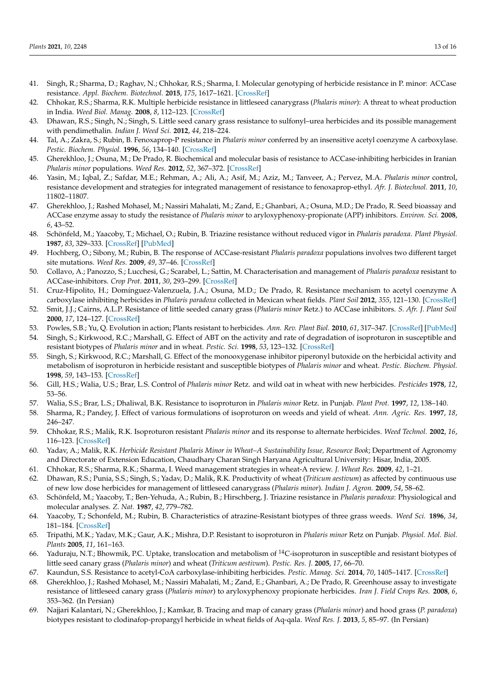- <span id="page-12-0"></span>41. Singh, R.; Sharma, D.; Raghav, N.; Chhokar, R.S.; Sharma, I. Molecular genotyping of herbicide resistance in P. minor: ACCase resistance. *Appl. Biochem. Biotechnol.* **2015**, *175*, 1617–1621. [\[CrossRef\]](http://doi.org/10.1007/s12010-014-1363-7)
- <span id="page-12-1"></span>42. Chhokar, R.S.; Sharma, R.K. Multiple herbicide resistance in littleseed canarygrass (*Phalaris minor*): A threat to wheat production in India. *Weed Biol. Manag.* **2008**, *8*, 112–123. [\[CrossRef\]](http://doi.org/10.1111/j.1445-6664.2008.00283.x)
- <span id="page-12-2"></span>43. Dhawan, R.S.; Singh, N.; Singh, S. Little seed canary grass resistance to sulfonyl–urea herbicides and its possible management with pendimethalin. *Indian J. Weed Sci.* **2012**, *44*, 218–224.
- <span id="page-12-3"></span>44. Tal, A.; Zakra, S.; Rubin, B. Fenoxaprop-P resistance in *Phalaris minor* conferred by an insensitive acetyl coenzyme A carboxylase. *Pestic. Biochem. Physiol.* **1996**, *56*, 134–140. [\[CrossRef\]](http://doi.org/10.1006/pest.1996.0067)
- <span id="page-12-4"></span>45. Gherekhloo, J.; Osuna, M.; De Prado, R. Biochemical and molecular basis of resistance to ACCase-inhibiting herbicides in Iranian *Phalaris minor* populations. *Weed Res.* **2012**, *52*, 367–372. [\[CrossRef\]](http://doi.org/10.1111/j.1365-3180.2012.00919.x)
- <span id="page-12-5"></span>46. Yasin, M.; Iqbal, Z.; Safdar, M.E.; Rehman, A.; Ali, A.; Asif, M.; Aziz, M.; Tanveer, A.; Pervez, M.A. *Phalaris minor* control, resistance development and strategies for integrated management of resistance to fenoxaprop-ethyl. *Afr. J. Biotechnol.* **2011**, *10*, 11802–11807.
- <span id="page-12-6"></span>47. Gherekhloo, J.; Rashed Mohasel, M.; Nassiri Mahalati, M.; Zand, E.; Ghanbari, A.; Osuna, M.D.; De Prado, R. Seed bioassay and ACCase enzyme assay to study the resistance of *Phalaris minor* to aryloxyphenoxy-propionate (APP) inhibitors. *Environ. Sci.* **2008**, *6*, 43–52.
- <span id="page-12-7"></span>48. Schönfeld, M.; Yaacoby, T.; Michael, O.; Rubin, B. Triazine resistance without reduced vigor in *Phalaris paradoxa*. *Plant Physiol.* **1987**, *83*, 329–333. [\[CrossRef\]](http://doi.org/10.1104/pp.83.2.329) [\[PubMed\]](http://www.ncbi.nlm.nih.gov/pubmed/16665245)
- <span id="page-12-8"></span>49. Hochberg, O.; Sibony, M.; Rubin, B. The response of ACCase-resistant *Phalaris paradoxa* populations involves two different target site mutations. *Weed Res.* **2009**, *49*, 37–46. [\[CrossRef\]](http://doi.org/10.1111/j.1365-3180.2008.00677.x)
- <span id="page-12-9"></span>50. Collavo, A.; Panozzo, S.; Lucchesi, G.; Scarabel, L.; Sattin, M. Characterisation and management of *Phalaris paradoxa* resistant to ACCase-inhibitors. *Crop Prot.* **2011**, *30*, 293–299. [\[CrossRef\]](http://doi.org/10.1016/j.cropro.2010.11.011)
- <span id="page-12-10"></span>51. Cruz-Hipolito, H.; Domínguez-Valenzuela, J.A.; Osuna, M.D.; De Prado, R. Resistance mechanism to acetyl coenzyme A carboxylase inhibiting herbicides in *Phalaris paradoxa* collected in Mexican wheat fields. *Plant Soil* **2012**, *355*, 121–130. [\[CrossRef\]](http://doi.org/10.1007/s11104-011-1085-3)
- <span id="page-12-11"></span>52. Smit, J.J.; Cairns, A.L.P. Resistance of little seeded canary grass (*Phalaris minor* Retz.) to ACCase inhibitors. *S. Afr. J. Plant Soil* **2000**, *17*, 124–127. [\[CrossRef\]](http://doi.org/10.1080/02571862.2000.10634882)
- <span id="page-12-12"></span>53. Powles, S.B.; Yu, Q. Evolution in action; Plants resistant to herbicides. *Ann. Rev. Plant Biol.* **2010**, *61*, 317–347. [\[CrossRef\]](http://doi.org/10.1146/annurev-arplant-042809-112119) [\[PubMed\]](http://www.ncbi.nlm.nih.gov/pubmed/20192743)
- <span id="page-12-13"></span>54. Singh, S.; Kirkwood, R.C.; Marshall, G. Effect of ABT on the activity and rate of degradation of isoproturon in susceptible and resistant biotypes of *Phalaris minor* and in wheat. *Pestic. Sci.* **1998**, *53*, 123–132. [\[CrossRef\]](http://doi.org/10.1002/(SICI)1096-9063(199806)53:2<123::AID-PS755>3.0.CO;2-J)
- <span id="page-12-14"></span>55. Singh, S.; Kirkwood, R.C.; Marshall, G. Effect of the monooxygenase inhibitor piperonyl butoxide on the herbicidal activity and metabolism of isoproturon in herbicide resistant and susceptible biotypes of *Phalaris minor* and wheat. *Pestic. Biochem. Physiol.* **1998**, *59*, 143–153. [\[CrossRef\]](http://doi.org/10.1006/pest.1998.2318)
- <span id="page-12-15"></span>56. Gill, H.S.; Walia, U.S.; Brar, L.S. Control of *Phalaris minor* Retz. and wild oat in wheat with new herbicides. *Pesticides* **1978**, *12*, 53–56.
- <span id="page-12-16"></span>57. Walia, S.S.; Brar, L.S.; Dhaliwal, B.K. Resistance to isoproturon in *Phalaris minor* Retz. in Punjab. *Plant Prot.* **1997**, *12*, 138–140.
- 58. Sharma, R.; Pandey, J. Effect of various formulations of isoproturon on weeds and yield of wheat. *Ann. Agric. Res.* **1997**, *18*, 246–247.
- <span id="page-12-17"></span>59. Chhokar, R.S.; Malik, R.K. Isoproturon resistant *Phalaris minor* and its response to alternate herbicides. *Weed Technol.* **2002**, *16*, 116–123. [\[CrossRef\]](http://doi.org/10.1614/0890-037X(2002)016[0116:IRLCPM]2.0.CO;2)
- <span id="page-12-18"></span>60. Yadav, A.; Malik, R.K. *Herbicide Resistant Phalaris Minor in Wheat–A Sustainability Issue, Resource Book*; Department of Agronomy and Directorate of Extension Education, Chaudhary Charan Singh Haryana Agricultural University: Hisar, India, 2005.
- <span id="page-12-19"></span>61. Chhokar, R.S.; Sharma, R.K.; Sharma, I. Weed management strategies in wheat-A review. *J. Wheat Res.* **2009**, *42*, 1–21.
- <span id="page-12-20"></span>62. Dhawan, R.S.; Punia, S.S.; Singh, S.; Yadav, D.; Malik, R.K. Productivity of wheat (*Triticum aestivum*) as affected by continuous use of new low dose herbicides for management of littleseed canarygrass (*Phalaris minor*). *Indian J. Agron.* **2009**, *54*, 58–62.
- <span id="page-12-21"></span>63. Schönfeld, M.; Yaacoby, T.; Ben-Yehuda, A.; Rubin, B.; Hirschberg, J. Triazine resistance in *Phalaris paradoxa*: Physiological and molecular analyses. *Z. Nat.* **1987**, *42*, 779–782.
- <span id="page-12-22"></span>64. Yaacoby, T.; Schonfeld, M.; Rubin, B. Characteristics of atrazine-Resistant biotypes of three grass weeds. *Weed Sci.* **1896**, *34*, 181–184. [\[CrossRef\]](http://doi.org/10.1017/S0043174500066650)
- <span id="page-12-23"></span>65. Tripathi, M.K.; Yadav, M.K.; Gaur, A.K.; Mishra, D.P. Resistant to isoproturon in *Phalaris minor* Retz on Punjab. *Physiol. Mol. Biol. Plants* **2005**, *11*, 161–163.
- <span id="page-12-24"></span>66. Yaduraju, N.T.; Bhowmik, P.C. Uptake, translocation and metabolism of  $14C$ -isoproturon in susceptible and resistant biotypes of little seed canary grass (*Phalaris minor*) and wheat (*Triticum aestivum*). *Pestic. Res. J.* **2005**, *17*, 66–70.
- <span id="page-12-25"></span>67. Kaundun, S.S. Resistance to acetyl-CoA carboxylase-inhibiting herbicides. *Pestic. Manag. Sci.* **2014**, *70*, 1405–1417. [\[CrossRef\]](http://doi.org/10.1002/ps.3790)
- <span id="page-12-26"></span>68. Gherekhloo, J.; Rashed Mohasel, M.; Nassiri Mahalati, M.; Zand, E.; Ghanbari, A.; De Prado, R. Greenhouse assay to investigate resistance of littleseed canary grass (*Phalaris minor*) to aryloxyphenoxy propionate herbicides. *Iran J. Field Crops Res.* **2008**, *6*, 353–362. (In Persian)
- 69. Najjari Kalantari, N.; Gherekhloo, J.; Kamkar, B. Tracing and map of canary grass (*Phalaris minor*) and hood grass (*P. paradoxa*) biotypes resistant to clodinafop-propargyl herbicide in wheat fields of Aq-qala. *Weed Res. J.* **2013**, *5*, 85–97. (In Persian)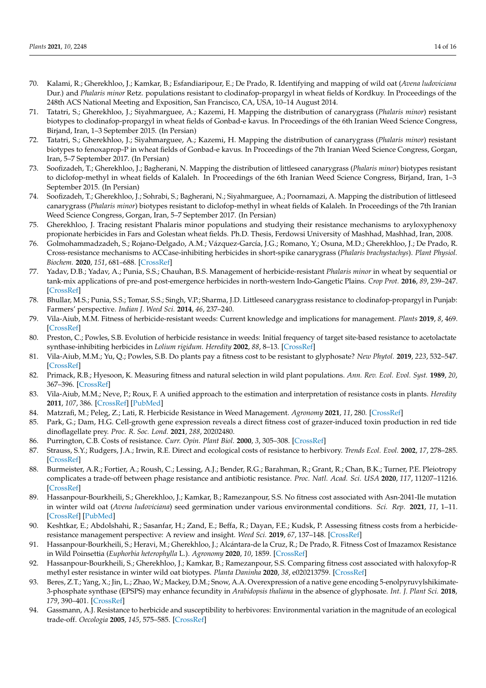- 70. Kalami, R.; Gherekhloo, J.; Kamkar, B.; Esfandiaripour, E.; De Prado, R. Identifying and mapping of wild oat (*Avena ludoviciana* Dur.) and *Phalaris minor* Retz. populations resistant to clodinafop-propargyl in wheat fields of Kordkuy. In Proceedings of the 248th ACS National Meeting and Exposition, San Francisco, CA, USA, 10–14 August 2014.
- <span id="page-13-3"></span>71. Tatatri, S.; Gherekhloo, J.; Siyahmarguee, A.; Kazemi, H. Mapping the distribution of canarygrass (*Phalaris minor*) resistant biotypes to clodinafop-propargyl in wheat fields of Gonbad-e kavus. In Proceedings of the 6th Iranian Weed Science Congress, Birjand, Iran, 1–3 September 2015. (In Persian)
- 72. Tatatri, S.; Gherekhloo, J.; Siyahmarguee, A.; Kazemi, H. Mapping the distribution of canarygrass (*Phalaris minor*) resistant biotypes to fenoxaprop-P in wheat fields of Gonbad-e kavus. In Proceedings of the 7th Iranian Weed Science Congress, Gorgan, Iran, 5–7 September 2017. (In Persian)
- 73. Soofizadeh, T.; Gherekhloo, J.; Bagherani, N. Mapping the distribution of littleseed canarygrass (*Phalaris minor*) biotypes resistant to diclofop-methyl in wheat fields of Kalaleh. In Proceedings of the 6th Iranian Weed Science Congress, Birjand, Iran, 1–3 September 2015. (In Persian)
- <span id="page-13-0"></span>74. Soofizadeh, T.; Gherekhloo, J.; Sohrabi, S.; Bagherani, N.; Siyahmarguee, A.; Poornamazi, A. Mapping the distribution of littleseed canarygrass (*Phalaris minor*) biotypes resistant to diclofop-methyl in wheat fields of Kalaleh. In Proceedings of the 7th Iranian Weed Science Congress, Gorgan, Iran, 5–7 September 2017. (In Persian)
- <span id="page-13-1"></span>75. Gherekhloo, J. Tracing resistant Phalaris minor populations and studying their resistance mechanisms to aryloxyphenoxy propionate herbicides in Fars and Golestan wheat fields. Ph.D. Thesis, Ferdowsi University of Mashhad, Mashhad, Iran, 2008.
- <span id="page-13-2"></span>76. Golmohammadzadeh, S.; Rojano-Delgado, A.M.; Vázquez-García, J.G.; Romano, Y.; Osuna, M.D.; Gherekhloo, J.; De Prado, R. Cross-resistance mechanisms to ACCase-inhibiting herbicides in short-spike canarygrass (*Phalaris brachystachys*). *Plant Physiol. Biochem.* **2020**, *151*, 681–688. [\[CrossRef\]](http://doi.org/10.1016/j.plaphy.2020.03.037)
- <span id="page-13-4"></span>77. Yadav, D.B.; Yadav, A.; Punia, S.S.; Chauhan, B.S. Management of herbicide-resistant *Phalaris minor* in wheat by sequential or tank-mix applications of pre-and post-emergence herbicides in north-western Indo-Gangetic Plains. *Crop Prot.* **2016**, *89*, 239–247. [\[CrossRef\]](http://doi.org/10.1016/j.cropro.2016.07.012)
- <span id="page-13-5"></span>78. Bhullar, M.S.; Punia, S.S.; Tomar, S.S.; Singh, V.P.; Sharma, J.D. Littleseed canarygrass resistance to clodinafop-propargyl in Punjab: Farmers' perspective. *Indian J. Weed Sci.* **2014**, *46*, 237–240.
- <span id="page-13-6"></span>79. Vila-Aiub, M.M. Fitness of herbicide-resistant weeds: Current knowledge and implications for management. *Plants* **2019**, *8*, 469. [\[CrossRef\]](http://doi.org/10.3390/plants8110469)
- <span id="page-13-7"></span>80. Preston, C.; Powles, S.B. Evolution of herbicide resistance in weeds: Initial frequency of target site-based resistance to acetolactate synthase-inhibiting herbicides in *Lolium rigidum*. *Heredity* **2002**, *88*, 8–13. [\[CrossRef\]](http://doi.org/10.1038/sj.hdy.6800004)
- <span id="page-13-8"></span>81. Vila-Aiub, M.M.; Yu, Q.; Powles, S.B. Do plants pay a fitness cost to be resistant to glyphosate? *New Phytol.* **2019**, *223*, 532–547. [\[CrossRef\]](http://doi.org/10.1111/nph.15733)
- <span id="page-13-9"></span>82. Primack, R.B.; Hyesoon, K. Measuring fitness and natural selection in wild plant populations. *Ann. Rev. Ecol. Evol. Syst.* **1989**, *20*, 367–396. [\[CrossRef\]](http://doi.org/10.1146/annurev.es.20.110189.002055)
- <span id="page-13-10"></span>83. Vila-Aiub, M.M.; Neve, P.; Roux, F. A unified approach to the estimation and interpretation of resistance costs in plants. *Heredity* **2011**, *107*, 386. [\[CrossRef\]](http://doi.org/10.1038/hdy.2011.29) [\[PubMed\]](http://www.ncbi.nlm.nih.gov/pubmed/21540885)
- <span id="page-13-11"></span>84. Matzrafi, M.; Peleg, Z.; Lati, R. Herbicide Resistance in Weed Management. *Agronomy* **2021**, *11*, 280. [\[CrossRef\]](http://doi.org/10.3390/agronomy11020280)
- <span id="page-13-12"></span>85. Park, G.; Dam, H.G. Cell-growth gene expression reveals a direct fitness cost of grazer-induced toxin production in red tide dinoflagellate prey. *Proc. R. Soc. Lond.* **2021**, *288*, 20202480.
- <span id="page-13-13"></span>86. Purrington, C.B. Costs of resistance. *Curr. Opin. Plant Biol.* **2000**, *3*, 305–308. [\[CrossRef\]](http://doi.org/10.1016/S1369-5266(00)00085-6)
- 87. Strauss, S.Y.; Rudgers, J.A.; Irwin, R.E. Direct and ecological costs of resistance to herbivory. *Trends Ecol. Evol.* **2002**, *17*, 278–285. [\[CrossRef\]](http://doi.org/10.1016/S0169-5347(02)02483-7)
- 88. Burmeister, A.R.; Fortier, A.; Roush, C.; Lessing, A.J.; Bender, R.G.; Barahman, R.; Grant, R.; Chan, B.K.; Turner, P.E. Pleiotropy complicates a trade-off between phage resistance and antibiotic resistance. *Proc. Natl. Acad. Sci. USA* **2020**, *117*, 11207–11216. [\[CrossRef\]](http://doi.org/10.1073/pnas.1919888117)
- <span id="page-13-14"></span>89. Hassanpour-Bourkheili, S.; Gherekhloo, J.; Kamkar, B.; Ramezanpour, S.S. No fitness cost associated with Asn-2041-Ile mutation in winter wild oat (*Avena ludoviciana*) seed germination under various environmental conditions. *Sci. Rep.* **2021**, *11*, 1–11. [\[CrossRef\]](http://doi.org/10.1038/s41598-021-81310-8) [\[PubMed\]](http://www.ncbi.nlm.nih.gov/pubmed/33452441)
- <span id="page-13-15"></span>90. Keshtkar, E.; Abdolshahi, R.; Sasanfar, H.; Zand, E.; Beffa, R.; Dayan, F.E.; Kudsk, P. Assessing fitness costs from a herbicideresistance management perspective: A review and insight. *Weed Sci.* **2019**, *67*, 137–148. [\[CrossRef\]](http://doi.org/10.1017/wsc.2018.63)
- <span id="page-13-16"></span>91. Hassanpour-Bourkheili, S.; Heravi, M.; Gherekhloo, J.; Alcántara-de la Cruz, R.; De Prado, R. Fitness Cost of Imazamox Resistance in Wild Poinsettia (*Euphorbia heterophylla* L.). *Agronomy* **2020**, *10*, 1859. [\[CrossRef\]](http://doi.org/10.3390/agronomy10121859)
- <span id="page-13-17"></span>92. Hassanpour-Bourkheili, S.; Gherekhloo, J.; Kamkar, B.; Ramezanpour, S.S. Comparing fitness cost associated with haloxyfop-R methyl ester resistance in winter wild oat biotypes. *Planta Daninha* **2020**, *38*, e020213759. [\[CrossRef\]](http://doi.org/10.1590/s0100-83582020380100042)
- <span id="page-13-18"></span>93. Beres, Z.T.; Yang, X.; Jin, L.; Zhao, W.; Mackey, D.M.; Snow, A.A. Overexpression of a native gene encoding 5-enolpyruvylshikimate-3-phosphate synthase (EPSPS) may enhance fecundity in *Arabidopsis thaliana* in the absence of glyphosate. *Int. J. Plant Sci.* **2018**, *179*, 390–401. [\[CrossRef\]](http://doi.org/10.1086/696701)
- <span id="page-13-19"></span>94. Gassmann, A.J. Resistance to herbicide and susceptibility to herbivores: Environmental variation in the magnitude of an ecological trade-off. *Oecologia* **2005**, *145*, 575–585. [\[CrossRef\]](http://doi.org/10.1007/s00442-005-0112-6)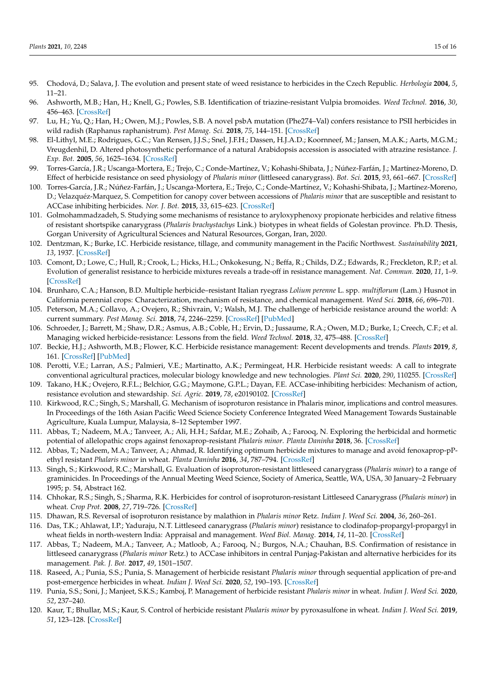- <span id="page-14-0"></span>95. Chodová, D.; Salava, J. The evolution and present state of weed resistance to herbicides in the Czech Republic. *Herbologia* **2004**, *5*, 11–21.
- <span id="page-14-1"></span>96. Ashworth, M.B.; Han, H.; Knell, G.; Powles, S.B. Identification of triazine-resistant Vulpia bromoides. *Weed Technol.* **2016**, *30*, 456–463. [\[CrossRef\]](http://doi.org/10.1614/WT-D-15-00127.1)
- <span id="page-14-2"></span>97. Lu, H.; Yu, Q.; Han, H.; Owen, M.J.; Powles, S.B. A novel psbA mutation (Phe274–Val) confers resistance to PSII herbicides in wild radish (Raphanus raphanistrum). *Pest Manag. Sci.* **2018**, *75*, 144–151. [\[CrossRef\]](http://doi.org/10.1002/ps.5079)
- <span id="page-14-3"></span>98. El-Lithyl, M.E.; Rodrigues, G.C.; Van Rensen, J.J.S.; Snel, J.F.H.; Dassen, H.J.A.D.; Koornneef, M.; Jansen, M.A.K.; Aarts, M.G.M.; Vreugdenhil, D. Altered photosynthetic performance of a natural Arabidopsis accession is associated with atrazine resistance. *J. Exp. Bot.* **2005**, *56*, 1625–1634. [\[CrossRef\]](http://doi.org/10.1093/jxb/eri157)
- <span id="page-14-4"></span>99. Torres-García, J.R.; Uscanga-Mortera, E.; Trejo, C.; Conde-Martínez, V.; Kohashi-Shibata, J.; Núñez-Farfán, J.; Martínez-Moreno, D. Effect of herbicide resistance on seed physiology of *Phalaris minor* (littleseed canarygrass). *Bot. Sci.* **2015**, *93*, 661–667. [\[CrossRef\]](http://doi.org/10.17129/botsci.81)
- <span id="page-14-5"></span>100. Torres-García, J.R.; Núñez-Farfán, J.; Uscanga-Mortera, E.; Trejo, C.; Conde-Martínez, V.; Kohashi-Shibata, J.; Martínez-Moreno, D.; Velazquéz-Marquez, S. Competition for canopy cover between accessions of *Phalaris minor* that are susceptible and resistant to ACCase inhibiting herbicides. *Nor. J. Bot.* **2015**, *33*, 615–623. [\[CrossRef\]](http://doi.org/10.1111/njb.00764)
- <span id="page-14-6"></span>101. Golmohammadzadeh, S. Studying some mechanisms of resistance to aryloxyphenoxy propionate herbicides and relative fitness of resistant shortspike canarygrass (*Phalaris brachystachys* Link.) biotypes in wheat fields of Golestan province. Ph.D. Thesis, Gorgan University of Agricultural Sciences and Natural Resources, Gorgan, Iran, 2020.
- <span id="page-14-7"></span>102. Dentzman, K.; Burke, I.C. Herbicide resistance, tillage, and community management in the Pacific Northwest. *Sustainability* **2021**, *13*, 1937. [\[CrossRef\]](http://doi.org/10.3390/su13041937)
- <span id="page-14-8"></span>103. Comont, D.; Lowe, C.; Hull, R.; Crook, L.; Hicks, H.L.; Onkokesung, N.; Beffa, R.; Childs, D.Z.; Edwards, R.; Freckleton, R.P.; et al. Evolution of generalist resistance to herbicide mixtures reveals a trade-off in resistance management. *Nat. Commun.* **2020**, *11*, 1–9. [\[CrossRef\]](http://doi.org/10.1038/s41467-020-16896-0)
- <span id="page-14-9"></span>104. Brunharo, C.A.; Hanson, B.D. Multiple herbicide–resistant Italian ryegrass *Lolium perenne* L. spp. *multiflorum* (Lam.) Husnot in California perennial crops: Characterization, mechanism of resistance, and chemical management. *Weed Sci.* **2018**, *66*, 696–701.
- <span id="page-14-11"></span>105. Peterson, M.A.; Collavo, A.; Ovejero, R.; Shivrain, V.; Walsh, M.J. The challenge of herbicide resistance around the world: A current summary. *Pest Manag. Sci.* **2018**, *74*, 2246–2259. [\[CrossRef\]](http://doi.org/10.1002/ps.4821) [\[PubMed\]](http://www.ncbi.nlm.nih.gov/pubmed/29222931)
- 106. Schroeder, J.; Barrett, M.; Shaw, D.R.; Asmus, A.B.; Coble, H.; Ervin, D.; Jussaume, R.A.; Owen, M.D.; Burke, I.; Creech, C.F.; et al. Managing wicked herbicide-resistance: Lessons from the field. *Weed Technol.* **2018**, *32*, 475–488. [\[CrossRef\]](http://doi.org/10.1017/wet.2018.49)
- <span id="page-14-12"></span>107. Beckie, H.J.; Ashworth, M.B.; Flower, K.C. Herbicide resistance management: Recent developments and trends. *Plants* **2019**, *8*, 161. [\[CrossRef\]](http://doi.org/10.3390/plants8060161) [\[PubMed\]](http://www.ncbi.nlm.nih.gov/pubmed/31181770)
- 108. Perotti, V.E.; Larran, A.S.; Palmieri, V.E.; Martinatto, A.K.; Permingeat, H.R. Herbicide resistant weeds: A call to integrate conventional agricultural practices, molecular biology knowledge and new technologies. *Plant Sci.* **2020**, *290*, 110255. [\[CrossRef\]](http://doi.org/10.1016/j.plantsci.2019.110255)
- <span id="page-14-10"></span>109. Takano, H.K.; Ovejero, R.F.L.; Belchior, G.G.; Maymone, G.P.L.; Dayan, F.E. ACCase-inhibiting herbicides: Mechanism of action, resistance evolution and stewardship. *Sci. Agric.* **2019**, *78*, e20190102. [\[CrossRef\]](http://doi.org/10.1590/1678-992x-2019-0102)
- <span id="page-14-13"></span>110. Kirkwood, R.C.; Singh, S.; Marshall, G. Mechanism of isoproturon resistance in Phalaris minor, implications and control measures. In Proceedings of the 16th Asian Pacific Weed Science Society Conference Integrated Weed Management Towards Sustainable Agriculture, Kuala Lumpur, Malaysia, 8–12 September 1997.
- <span id="page-14-14"></span>111. Abbas, T.; Nadeem, M.A.; Tanveer, A.; Ali, H.H.; Safdar, M.E.; Zohaib, A.; Farooq, N. Exploring the herbicidal and hormetic potential of allelopathic crops against fenoxaprop-resistant *Phalaris minor*. *Planta Daninha* **2018**, 36. [\[CrossRef\]](http://doi.org/10.1590/s0100-83582018360100056)
- <span id="page-14-15"></span>112. Abbas, T.; Nadeem, M.A.; Tanveer, A.; Ahmad, R. Identifying optimum herbicide mixtures to manage and avoid fenoxaprop-pPethyl resistant *Phalaris minor* in wheat. *Planta Daninha* **2016**, *34*, 787–794. [\[CrossRef\]](http://doi.org/10.1590/s0100-83582016340400019)
- <span id="page-14-16"></span>113. Singh, S.; Kirkwood, R.C.; Marshall, G. Evaluation of isoproturon-resistant littleseed canarygrass (*Phalaris minor*) to a range of graminicides. In Proceedings of the Annual Meeting Weed Science, Society of America, Seattle, WA, USA, 30 January–2 February 1995; p. 54, Abstract 162.
- <span id="page-14-17"></span>114. Chhokar, R.S.; Singh, S.; Sharma, R.K. Herbicides for control of isoproturon-resistant Littleseed Canarygrass (*Phalaris minor*) in wheat. *Crop Prot.* **2008**, *27*, 719–726. [\[CrossRef\]](http://doi.org/10.1016/j.cropro.2007.10.004)
- <span id="page-14-18"></span>115. Dhawan, R.S. Reversal of isoproturon resistance by malathion in *Phalaris minor* Retz. *Indian J. Weed Sci.* **2004**, *36*, 260–261.
- <span id="page-14-19"></span>116. Das, T.K.; Ahlawat, I.P.; Yaduraju, N.T. Littleseed canarygrass (*Phalaris minor*) resistance to clodinafop-propargyl-propargyl in wheat fields in north-western India: Appraisal and management. *Weed Biol. Manag.* **2014**, *14*, 11–20. [\[CrossRef\]](http://doi.org/10.1111/wbm.12028)
- 117. Abbas, T.; Nadeem, M.A.; Tanveer, A.; Matloob, A.; Farooq, N.; Burgos, N.A.; Chauhan, B.S. Confirmation of resistance in littleseed canarygrass (*Phalaris minor* Retz.) to ACCase inhibitors in central Punjag-Pakistan and alternative herbicides for its management. *Pak. J. Bot.* **2017**, *49*, 1501–1507.
- <span id="page-14-20"></span>118. Raseed, A.; Punia, S.S.; Punia, S. Management of herbicide resistant *Phalaris minor* through sequential application of pre-and post-emergence herbicides in wheat. *Indian J. Weed Sci.* **2020**, *52*, 190–193. [\[CrossRef\]](http://doi.org/10.5958/0974-8164.2020.00035.0)
- <span id="page-14-21"></span>119. Punia, S.S.; Soni, J.; Manjeet, S.K.S.; Kamboj, P. Management of herbicide resistant *Phalaris minor* in wheat. *Indian J. Weed Sci.* **2020**, *52*, 237–240.
- <span id="page-14-22"></span>120. Kaur, T.; Bhullar, M.S.; Kaur, S. Control of herbicide resistant *Phalaris minor* by pyroxasulfone in wheat. *Indian J. Weed Sci.* **2019**, *51*, 123–128. [\[CrossRef\]](http://doi.org/10.5958/0974-8164.2019.00028.5)